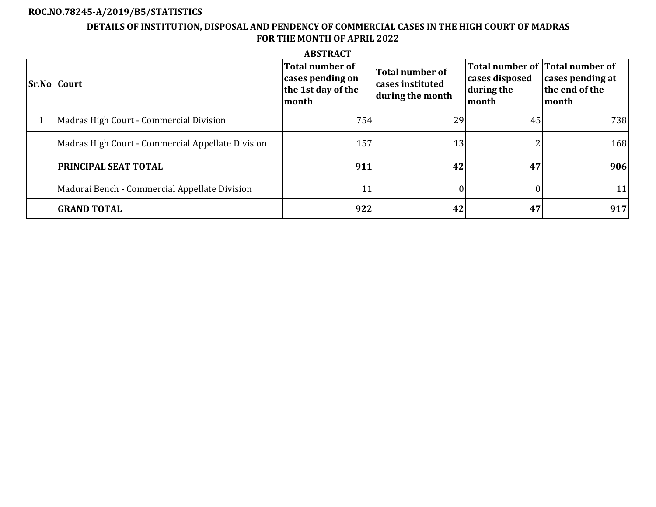# **ROC.NO.78245-A/2019/B5/STATISTICS**

# **DETAILS OF INSTITUTION, DISPOSAL AND PENDENCY OF COMMERCIAL CASES IN THE HIGH COURT OF MADRAS FOR THE MONTH OF APRIL 2022**

|                    |                                                   | <b>ABSTRACT</b>                                                    |                                                         |                                                                          |                                             |
|--------------------|---------------------------------------------------|--------------------------------------------------------------------|---------------------------------------------------------|--------------------------------------------------------------------------|---------------------------------------------|
| <b>Sr.No Court</b> |                                                   | Total number of<br>cases pending on<br>the 1st day of the<br>month | Total number of<br>cases instituted<br>during the month | Total number of Total number of<br>cases disposed<br>during the<br>month | cases pending at<br>the end of the<br>month |
|                    | Madras High Court - Commercial Division           | 754                                                                | 29                                                      | 45                                                                       | 738                                         |
|                    | Madras High Court - Commercial Appellate Division | 157                                                                | 13                                                      |                                                                          | 168                                         |
|                    | <b>PRINCIPAL SEAT TOTAL</b>                       | 911                                                                | 42                                                      | 47                                                                       | 906                                         |
|                    | Madurai Bench - Commercial Appellate Division     | 11                                                                 | 0                                                       | 0                                                                        | 11                                          |
|                    | <b>GRAND TOTAL</b>                                | 922                                                                | 42                                                      | 47                                                                       | 917                                         |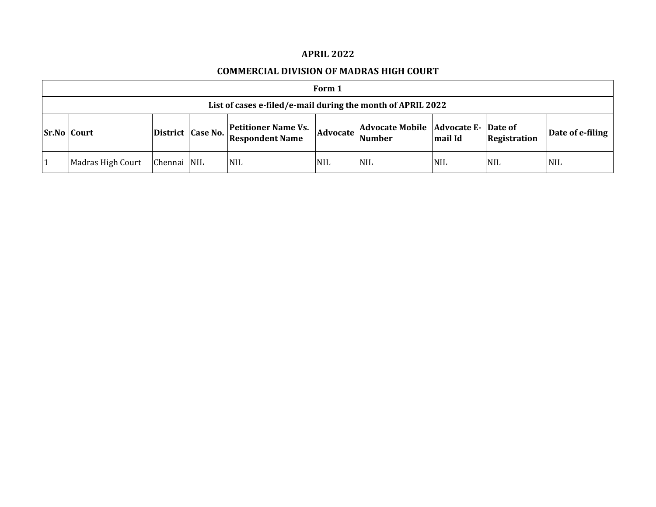### **APRIL 2022**

### **COMMERCIAL DIVISION OF MADRAS HIGH COURT**

| Form 1                                                      |             |  |                                                                 |            |                                                          |            |                     |                  |  |  |  |
|-------------------------------------------------------------|-------------|--|-----------------------------------------------------------------|------------|----------------------------------------------------------|------------|---------------------|------------------|--|--|--|
| List of cases e-filed/e-mail during the month of APRIL 2022 |             |  |                                                                 |            |                                                          |            |                     |                  |  |  |  |
| <b>Sr.No Court</b>                                          |             |  | <b>Petitioner Name Vs.</b><br>District Case No. Respondent Name | Advocate   | Advocate Mobile   Advocate E-   Date of<br><b>Number</b> | mail Id    | <b>Registration</b> | Date of e-filing |  |  |  |
| Madras High Court                                           | Chennai NIL |  | <b>NIL</b>                                                      | <b>NIL</b> | <b>NIL</b>                                               | <b>NIL</b> | <b>NIL</b>          | <b>NIL</b>       |  |  |  |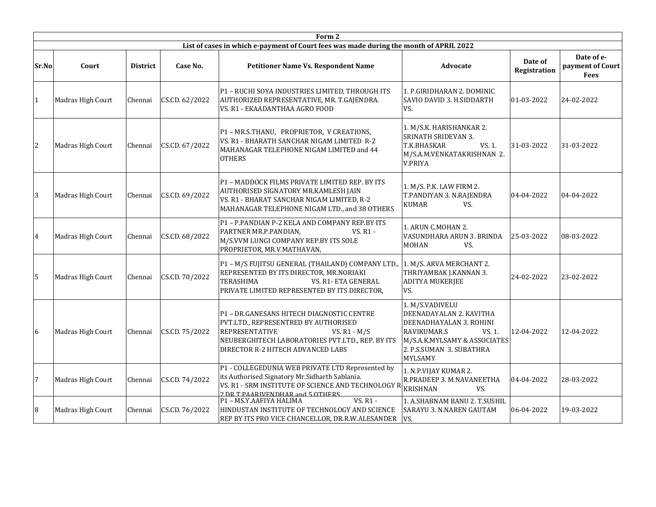|       | Form 2            |                 |                |                                                                                                                                                                                                                |                                                                                                                                                                              |                         |                                               |  |  |  |  |  |
|-------|-------------------|-----------------|----------------|----------------------------------------------------------------------------------------------------------------------------------------------------------------------------------------------------------------|------------------------------------------------------------------------------------------------------------------------------------------------------------------------------|-------------------------|-----------------------------------------------|--|--|--|--|--|
|       |                   |                 |                | List of cases in which e-payment of Court fees was made during the month of APRIL 2022                                                                                                                         |                                                                                                                                                                              |                         |                                               |  |  |  |  |  |
| Sr.No | Court             | <b>District</b> | Case No.       | <b>Petitioner Name Vs. Respondent Name</b>                                                                                                                                                                     | Advocate                                                                                                                                                                     | Date of<br>Registration | Date of e-<br>payment of Court<br><b>Fees</b> |  |  |  |  |  |
|       | Madras High Court | Chennai         | CS.CD. 62/2022 | P1 - RUCHI SOYA INDUSTRIES LIMITED, THROUGH ITS<br>AUTHORIZED REPRESENTATIVE, MR. T.GAJENDRA.<br>VS. R1 - EKAADANTHAA AGRO FOOD                                                                                | 1. P.GIRIDHARAN 2. DOMINIC<br>SAVIO DAVID 3. H.SIDDARTH<br>VS.                                                                                                               | 01-03-2022              | 24-02-2022                                    |  |  |  |  |  |
| 2     | Madras High Court | Chennai         | CS.CD. 67/2022 | P1-MR.S.THANU, PROPRIETOR, V CREATIONS,<br>VS. R1 - BHARATH SANCHAR NIGAM LIMITED R-2<br>MAHANAGAR TELEPHONE NIGAM LIMITED and 44<br><b>OTHERS</b>                                                             | 1. M/S.K. HARISHANKAR 2.<br><b>SRINATH SRIDEVAN 3.</b><br>VS. 1.<br>T.K.BHASKAR<br>M/S.A.M.VENKATAKRISHNAN 2.<br><b>V.PRIYA</b>                                              | 31-03-2022              | 31-03-2022                                    |  |  |  |  |  |
| 3     | Madras High Court | Chennai         | CS.CD. 69/2022 | P1 - MADDOCK FILMS PRIVATE LIMITED REP. BY ITS<br>AUTHORISED SIGNATORY MR.KAMLESH JAIN<br>VS. R1 - BHARAT SANCHAR NIGAM LIMITED, R-2<br>MAHANAGAR TELEPHONE NIGAM LTD., and 38 OTHERS                          | 1. M/S. P.K. LAW FIRM 2.<br>T.PANDIYAN 3. N.RAJENDRA<br><b>KUMAR</b><br>VS.                                                                                                  | 04-04-2022              | 04-04-2022                                    |  |  |  |  |  |
| 4     | Madras High Court | Chennai         | CS.CD. 68/2022 | P1 - P.PANDIAN P-2 KELA AND COMPANY REP.BY ITS<br>PARTNER MR.P.PANDIAN,<br>VS. R1 -<br>M/S.VVM LUNGI COMPANY REP.BY ITS SOLE<br>PROPRIETOR, MR.V.MATHAVAN,                                                     | 1. ARUN C.MOHAN 2.<br>VASUNDHARA ARUN 3. BRINDA<br><b>MOHAN</b><br>VS.                                                                                                       | 25-03-2022              | 08-03-2022                                    |  |  |  |  |  |
| 5     | Madras High Court | Chennai         | CS.CD. 70/2022 | P1 - M/S FUJITSU GENERAL (THAILAND) COMPANY LTD.,<br>REPRESENTED BY ITS DIRECTOR, MR.NORIAKI<br>TERASHIMA<br>VS. R1-ETA GENERAL<br>PRIVATE LIMITED REPRESENTED BY ITS DIRECTOR,                                | 1. M/S. ARVA MERCHANT 2.<br>THRIYAMBAK J.KANNAN 3.<br><b>ADITYA MUKERJEE</b><br>VS.                                                                                          | 24-02-2022              | 23-02-2022                                    |  |  |  |  |  |
| 6     | Madras High Court | Chennai         | CS.CD. 75/2022 | P1 - DR.GANESANS HITECH DIAGNOSTIC CENTRE<br>PVT.LTD., REPRESENTRED BY AUTHORISED<br>REPRESENTATIVE<br>VS. $R1 - M/S$<br>NEUBERGHITECH LABORATORIES PVT.LTD., REP. BY ITS<br>DIRECTOR R-2 HITECH ADVANCED LABS | 1. M/S.VADIVELU<br>DEENADAYALAN 2. KAVITHA<br>DEENADHAYALAN 3. ROHINI<br>RAVIKUMAR.S<br>VS. 1.<br>M/S.A.K.MYLSAMY & ASSOCIATES<br>2. P.S.SUMAN 3. SUBATHRA<br><b>MYLSAMY</b> | 12-04-2022              | 12-04-2022                                    |  |  |  |  |  |
| 7     | Madras High Court | Chennai         | CS.CD. 74/2022 | P1 - COLLEGEDUNIA WEB PRIVATE LTD Represented by<br>its Authorised Signatory Mr.Sidharth Sablania.<br>VS. R1 - SRM INSTITUTE OF SCIENCE AND TECHNOLOGY RIKISHNAN<br>2 DR T PAARIVENDHAR and 5 OTHERS           | 1. N.P.VIJAY KUMAR 2.<br>R.PRADEEP 3. M.NAVANEETHA<br>VS.                                                                                                                    | 04-04-2022              | 28-03-2022                                    |  |  |  |  |  |
| 8     | Madras High Court | Chennai         | CS.CD. 76/2022 | VS. R1 -<br>P1 - MS.Y.AAFIYA HALIMA<br>HINDUSTAN INSTITUTE OF TECHNOLOGY AND SCIENCE<br>REP BY ITS PRO VICE CHANCELLOR, DR.R.W.ALESANDER                                                                       | 1. A.SHABNAM BANU 2. T.SUSHIL<br>SARAYU 3. N.NAREN GAUTAM<br>VS.                                                                                                             | 06-04-2022              | 19-03-2022                                    |  |  |  |  |  |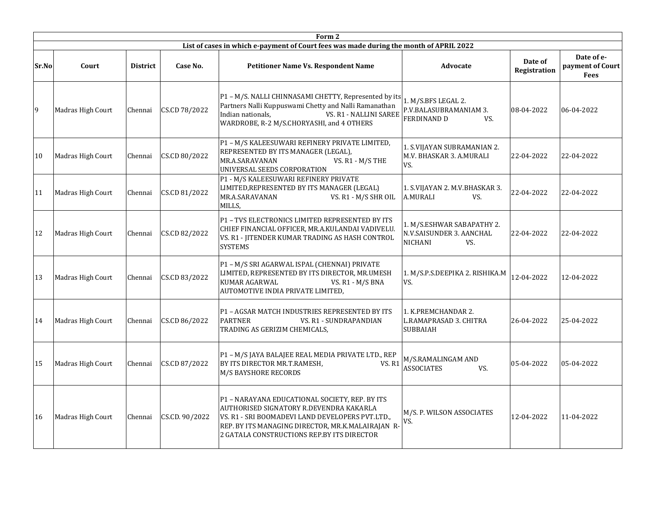|       |                   |                 |                | Form 2                                                                                                                                                                                                                                           |                                                                            |                         |                                               |
|-------|-------------------|-----------------|----------------|--------------------------------------------------------------------------------------------------------------------------------------------------------------------------------------------------------------------------------------------------|----------------------------------------------------------------------------|-------------------------|-----------------------------------------------|
|       |                   |                 |                | List of cases in which e-payment of Court fees was made during the month of APRIL 2022                                                                                                                                                           |                                                                            |                         |                                               |
| Sr.No | Court             | <b>District</b> | Case No.       | <b>Petitioner Name Vs. Respondent Name</b>                                                                                                                                                                                                       | Advocate                                                                   | Date of<br>Registration | Date of e-<br>payment of Court<br><b>Fees</b> |
| 9     | Madras High Court | Chennai         | CS.CD 78/2022  | P1 - M/S. NALLI CHINNASAMI CHETTY, Represented by its<br>Partners Nalli Kuppuswami Chetty and Nalli Ramanathan<br>Indian nationals,<br>VS. R1 - NALLINI SAREE<br>WARDROBE, R-2 M/S.CHORYASHI, and 4 OTHERS                                       | 1. M/S.BFS LEGAL 2.<br>P.V.BALASUBRAMANIAM 3.<br><b>FERDINAND D</b><br>VS. | 08-04-2022              | 06-04-2022                                    |
| 10    | Madras High Court | Chennai         | CS.CD 80/2022  | P1 - M/S KALEESUWARI REFINERY PRIVATE LIMITED,<br>REPRESENTED BY ITS MANAGER (LEGAL),<br>VS. R1 - M/S THE<br>MR.A.SARAVANAN<br>UNIVERSAL SEEDS CORPORATION                                                                                       | 1. S.VIJAYAN SUBRAMANIAN 2.<br>M.V. BHASKAR 3. A.MURALI<br>VS.             | 22-04-2022              | 22-04-2022                                    |
| 11    | Madras High Court | Chennai         | CS.CD 81/2022  | P1 - M/S KALEESUWARI REFINERY PRIVATE<br>LIMITED, REPRESENTED BY ITS MANAGER (LEGAL)<br>MR.A.SARAVANAN<br>VS. R1 - M/S SHR OIL<br>MILLS,                                                                                                         | 1. S.VIJAYAN 2. M.V.BHASKAR 3.<br>A.MURALI<br>VS.                          | 22-04-2022              | 22-04-2022                                    |
| 12    | Madras High Court | Chennai         | CS.CD 82/2022  | P1 - TVS ELECTRONICS LIMITED REPRESENTED BY ITS<br>CHIEF FINANCIAL OFFICER, MR.A.KULANDAI VADIVELU.<br>VS. R1 - JITENDER KUMAR TRADING AS HASH CONTROL<br><b>SYSTEMS</b>                                                                         | 1. M/S.ESHWAR SABAPATHY 2.<br>N.V.SAISUNDER 3. AANCHAL<br>NICHANI<br>VS.   | 22-04-2022              | 22-04-2022                                    |
| 13    | Madras High Court | Chennai         | CS.CD 83/2022  | P1 - M/S SRI AGARWAL ISPAL (CHENNAI) PRIVATE<br>LIMITED, REPRESENTED BY ITS DIRECTOR, MR.UMESH<br>KUMAR AGARWAL<br>VS. R1 - M/S BNA<br>AUTOMOTIVE INDIA PRIVATE LIMITED,                                                                         | 1. M/S.P.S.DEEPIKA 2. RISHIKA.M<br>VS.                                     | 12-04-2022              | 12-04-2022                                    |
| 14    | Madras High Court | Chennai         | CS.CD 86/2022  | P1 - AGSAR MATCH INDUSTRIES REPRESENTED BY ITS<br><b>PARTNER</b><br>VS. R1 - SUNDRAPANDIAN<br>TRADING AS GERIZIM CHEMICALS,                                                                                                                      | 1. K.PREMCHANDAR 2.<br>L.RAMAPRASAD 3. CHITRA<br><b>SUBBAIAH</b>           | 26-04-2022              | 25-04-2022                                    |
| 15    | Madras High Court | Chennai         | CS.CD 87/2022  | P1 - M/S JAYA BALAJEE REAL MEDIA PRIVATE LTD., REP<br><b>VS. R1</b><br>BY ITS DIRECTOR MR.T.RAMESH,<br>M/S BAYSHORE RECORDS                                                                                                                      | M/S.RAMALINGAM AND<br><b>ASSOCIATES</b><br>VS.                             | 05-04-2022              | 05-04-2022                                    |
| 16    | Madras High Court | Chennai         | CS.CD. 90/2022 | P1 - NARAYANA EDUCATIONAL SOCIETY, REP. BY ITS<br>AUTHORISED SIGNATORY R.DEVENDRA KAKARLA<br>VS. R1 - SRI BOOMADEVI LAND DEVELOPERS PVT.LTD.,<br>REP. BY ITS MANAGING DIRECTOR, MR.K.MALAIRAJAN R-<br>2 GATALA CONSTRUCTIONS REP.BY ITS DIRECTOR | M/S. P. WILSON ASSOCIATES<br>VS.                                           | 12-04-2022              | 11-04-2022                                    |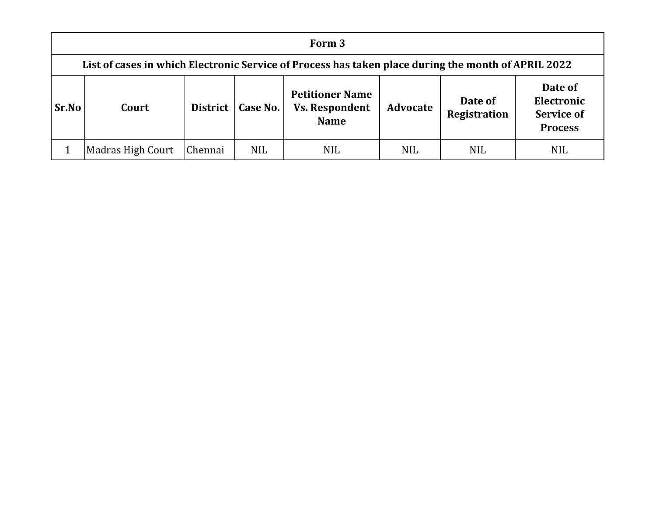|              | Form 3                                                                                              |                 |            |                                                                |                 |                                |                                                              |  |  |  |  |
|--------------|-----------------------------------------------------------------------------------------------------|-----------------|------------|----------------------------------------------------------------|-----------------|--------------------------------|--------------------------------------------------------------|--|--|--|--|
|              | List of cases in which Electronic Service of Process has taken place during the month of APRIL 2022 |                 |            |                                                                |                 |                                |                                                              |  |  |  |  |
| <b>Sr.No</b> | Court                                                                                               | <b>District</b> | Case No.   | <b>Petitioner Name</b><br><b>Vs. Respondent</b><br><b>Name</b> | <b>Advocate</b> | Date of<br><b>Registration</b> | Date of<br>Electronic<br><b>Service of</b><br><b>Process</b> |  |  |  |  |
|              | Madras High Court                                                                                   | Chennai         | <b>NIL</b> | <b>NIL</b>                                                     | <b>NIL</b>      | <b>NIL</b>                     | <b>NIL</b>                                                   |  |  |  |  |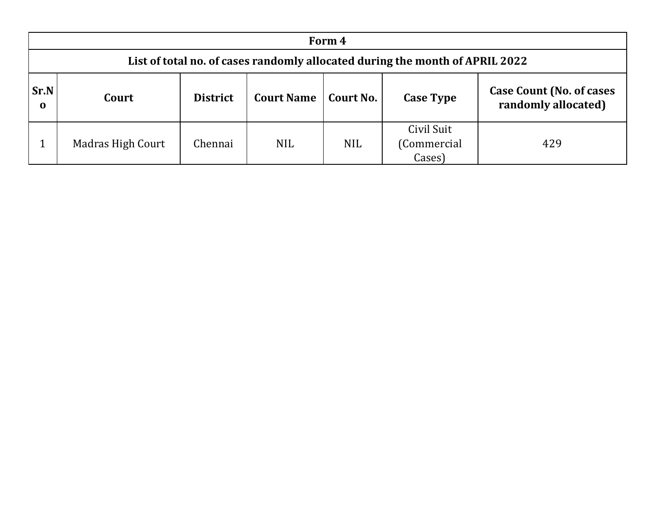|                         | Form 4                                                                       |                 |                  |                                                         |                                     |     |  |  |  |  |  |
|-------------------------|------------------------------------------------------------------------------|-----------------|------------------|---------------------------------------------------------|-------------------------------------|-----|--|--|--|--|--|
|                         | List of total no. of cases randomly allocated during the month of APRIL 2022 |                 |                  |                                                         |                                     |     |  |  |  |  |  |
| <b>Sr.N</b><br>$\bf{0}$ | Court                                                                        | <b>District</b> | <b>Case Type</b> | <b>Case Count (No. of cases)</b><br>randomly allocated) |                                     |     |  |  |  |  |  |
|                         | Madras High Court                                                            | Chennai         | <b>NIL</b>       | <b>NIL</b>                                              | Civil Suit<br>(Commercial<br>Cases) | 429 |  |  |  |  |  |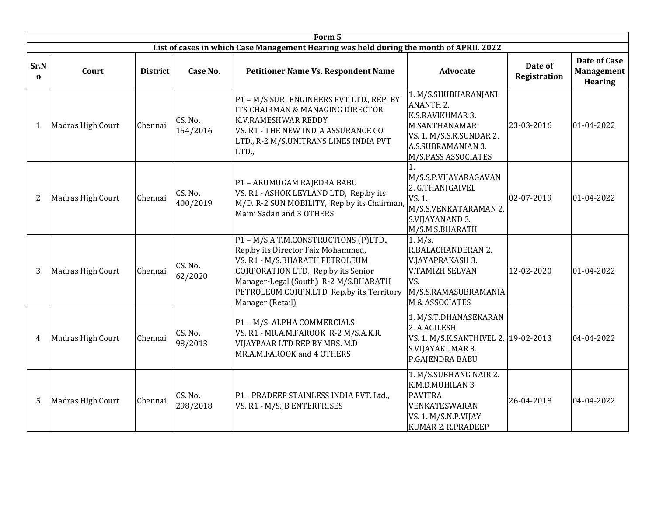|                  |                   |                 |                     | Form 5                                                                                                                                                                                                                                                      |                                                                                                                                                         |                                |                                              |
|------------------|-------------------|-----------------|---------------------|-------------------------------------------------------------------------------------------------------------------------------------------------------------------------------------------------------------------------------------------------------------|---------------------------------------------------------------------------------------------------------------------------------------------------------|--------------------------------|----------------------------------------------|
|                  |                   |                 |                     | List of cases in which Case Management Hearing was held during the month of APRIL 2022                                                                                                                                                                      |                                                                                                                                                         |                                |                                              |
| Sr.N<br>$\Omega$ | Court             | <b>District</b> | Case No.            | <b>Petitioner Name Vs. Respondent Name</b>                                                                                                                                                                                                                  | <b>Advocate</b>                                                                                                                                         | Date of<br><b>Registration</b> | Date of Case<br>Management<br><b>Hearing</b> |
| $\mathbf{1}$     | Madras High Court | Chennai         | CS. No.<br>154/2016 | P1 - M/S.SURI ENGINEERS PVT LTD., REP. BY<br>ITS CHAIRMAN & MANAGING DIRECTOR<br><b>K.V.RAMESHWAR REDDY</b><br>VS. R1 - THE NEW INDIA ASSURANCE CO<br>LTD., R-2 M/S.UNITRANS LINES INDIA PVT<br>LTD.,                                                       | 1. M/S.SHUBHARANJANI<br><b>ANANTH 2.</b><br>K.S.RAVIKUMAR 3.<br>M.SANTHANAMARI<br>VS. 1. M/S.S.R.SUNDAR 2.<br>A.S.SUBRAMANIAN 3.<br>M/S.PASS ASSOCIATES | 23-03-2016                     | 01-04-2022                                   |
| $\overline{2}$   | Madras High Court | Chennai         | CS. No.<br>400/2019 | P1 - ARUMUGAM RAJEDRA BABU<br>VS. R1 - ASHOK LEYLAND LTD, Rep.by its<br>M/D. R-2 SUN MOBILITY, Rep.by its Chairman,<br>Maini Sadan and 3 OTHERS                                                                                                             | M/S.S.P.VIJAYARAGAVAN<br>2. G.THANIGAIVEL<br>VS. 1.<br>M/S.S.VENKATARAMAN 2.<br>S.VIJAYANAND 3.<br>M/S.M.S.BHARATH                                      | 02-07-2019                     | 01-04-2022                                   |
| 3                | Madras High Court | Chennai         | CS. No.<br>62/2020  | P1-M/S.A.T.M.CONSTRUCTIONS (P)LTD.,<br>Rep.by its Director Faiz Mohammed,<br>VS. R1 - M/S.BHARATH PETROLEUM<br>CORPORATION LTD, Rep.by its Senior<br>Manager-Legal (South) R-2 M/S.BHARATH<br>PETROLEUM CORPN.LTD. Rep.by its Territory<br>Manager (Retail) | 1. M/s.<br>R.BALACHANDERAN 2.<br>V.JAYAPRAKASH 3.<br>V.TAMIZH SELVAN<br>VS.<br>M/S.S.RAMASUBRAMANIA<br>M & ASSOCIATES                                   | 12-02-2020                     | 01-04-2022                                   |
| 4                | Madras High Court | Chennai         | CS. No.<br>98/2013  | P1 - M/S. ALPHA COMMERCIALS<br>VS. R1 - MR.A.M.FAROOK R-2 M/S.A.K.R.<br>VIJAYPAAR LTD REP.BY MRS. M.D<br>MR.A.M.FAROOK and 4 OTHERS                                                                                                                         | 1. M/S.T.DHANASEKARAN<br>2. A.AGILESH<br>VS. 1. M/S.K.SAKTHIVEL 2. 19-02-2013<br>S.VIJAYAKUMAR 3.<br>P.GAJENDRA BABU                                    |                                | 04-04-2022                                   |
| 5                | Madras High Court | Chennai         | CS. No.<br>298/2018 | P1 - PRADEEP STAINLESS INDIA PVT. Ltd.,<br>VS. R1 - M/S.JB ENTERPRISES                                                                                                                                                                                      | 1. M/S.SUBHANG NAIR 2.<br>K.M.D.MUHILAN 3.<br><b>PAVITRA</b><br>VENKATESWARAN<br>VS. 1. M/S.N.P.VIJAY<br>KUMAR 2. R.PRADEEP                             | 26-04-2018                     | 04-04-2022                                   |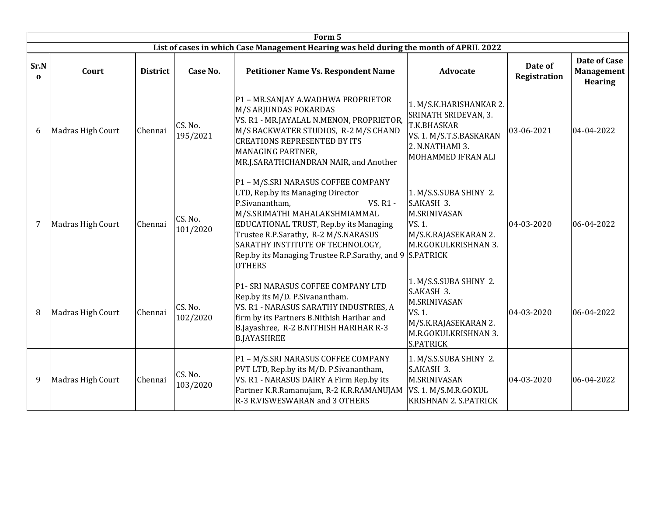|                  | Form 5            |                 |                     |                                                                                                                                                                                                                                                                                                                                            |                                                                                                                                           |                         |                                                     |  |  |  |  |
|------------------|-------------------|-----------------|---------------------|--------------------------------------------------------------------------------------------------------------------------------------------------------------------------------------------------------------------------------------------------------------------------------------------------------------------------------------------|-------------------------------------------------------------------------------------------------------------------------------------------|-------------------------|-----------------------------------------------------|--|--|--|--|
|                  |                   |                 |                     | List of cases in which Case Management Hearing was held during the month of APRIL 2022                                                                                                                                                                                                                                                     |                                                                                                                                           |                         |                                                     |  |  |  |  |
| Sr.N<br>$\Omega$ | Court             | <b>District</b> | Case No.            | <b>Petitioner Name Vs. Respondent Name</b>                                                                                                                                                                                                                                                                                                 | <b>Advocate</b>                                                                                                                           | Date of<br>Registration | Date of Case<br><b>Management</b><br><b>Hearing</b> |  |  |  |  |
| 6                | Madras High Court | Chennai         | CS. No.<br>195/2021 | P1 - MR.SANJAY A.WADHWA PROPRIETOR<br>M/S ARJUNDAS POKARDAS<br>VS. R1 - MR.JAYALAL N.MENON, PROPRIETOR,<br>M/S BACKWATER STUDIOS, R-2 M/S CHAND<br><b>CREATIONS REPRESENTED BY ITS</b><br>MANAGING PARTNER,<br>MR.J.SARATHCHANDRAN NAIR, and Another                                                                                       | 1. M/S.K.HARISHANKAR 2.<br>SRINATH SRIDEVAN, 3.<br>T.K.BHASKAR<br>VS. 1. M/S.T.S.BASKARAN<br>2. N.NATHAMI 3.<br>MOHAMMED IFRAN ALI        | 03-06-2021              | 04-04-2022                                          |  |  |  |  |
| $\overline{7}$   | Madras High Court | Chennai         | CS. No.<br>101/2020 | P1 - M/S.SRI NARASUS COFFEE COMPANY<br>LTD, Rep.by its Managing Director<br>P.Sivanantham,<br>VS. R1 -<br>M/S.SRIMATHI MAHALAKSHMIAMMAL<br>EDUCATIONAL TRUST, Rep.by its Managing<br>Trustee R.P.Sarathy, R-2 M/S.NARASUS<br>SARATHY INSTITUTE OF TECHNOLOGY,<br>Rep.by its Managing Trustee R.P.Sarathy, and 9 S.PATRICK<br><b>OTHERS</b> | 1. M/S.S.SUBA SHINY 2.<br>S.AKASH 3.<br><b>M.SRINIVASAN</b><br>VS. 1.<br>M/S.K.RAJASEKARAN 2.<br>M.R.GOKULKRISHNAN 3.                     | 04-03-2020              | 06-04-2022                                          |  |  |  |  |
| 8                | Madras High Court | Chennai         | CS. No.<br>102/2020 | <b>P1- SRI NARASUS COFFEE COMPANY LTD</b><br>Rep.by its M/D. P. Sivanantham.<br>VS. R1 - NARASUS SARATHY INDUSTRIES, A<br>firm by its Partners B.Nithish Harihar and<br>B.Jayashree, R-2 B.NITHISH HARIHAR R-3<br><b>B.JAYASHREE</b>                                                                                                       | 1. M/S.S.SUBA SHINY 2.<br>S.AKASH 3.<br><b>M.SRINIVASAN</b><br>VS. 1.<br>M/S.K.RAJASEKARAN 2.<br>M.R.GOKULKRISHNAN 3.<br><b>S.PATRICK</b> | 04-03-2020              | 06-04-2022                                          |  |  |  |  |
| 9                | Madras High Court | Chennai         | CS. No.<br>103/2020 | P1 - M/S.SRI NARASUS COFFEE COMPANY<br>PVT LTD, Rep.by its M/D. P. Sivanantham,<br>VS. R1 - NARASUS DAIRY A Firm Rep.by its<br>Partner K.R.Ramanujam, R-2 K.R.RAMANUJAM<br>R-3 R.VISWESWARAN and 3 OTHERS                                                                                                                                  | 1. M/S.S.SUBA SHINY 2.<br>S.AKASH 3.<br><b>M.SRINIVASAN</b><br>VS. 1. M/S.M.R.GOKUL<br><b>KRISHNAN 2. S.PATRICK</b>                       | 04-03-2020              | 06-04-2022                                          |  |  |  |  |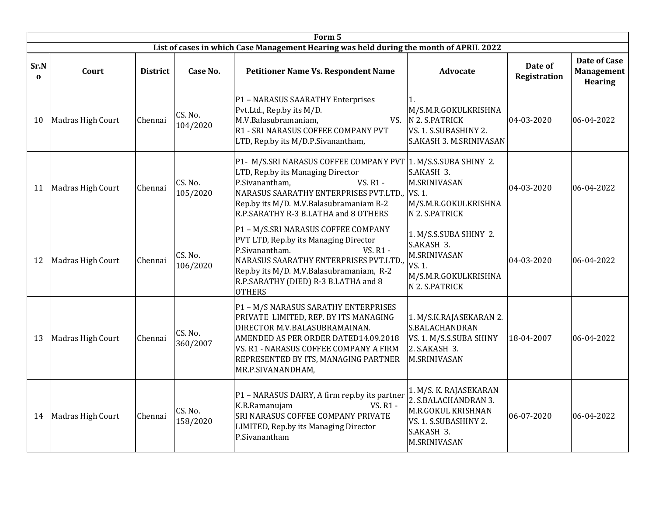|                  |                   |                 |                     | Form 5                                                                                                                                                                                                                                                               |                                                                                                                                    |                                |                                                            |
|------------------|-------------------|-----------------|---------------------|----------------------------------------------------------------------------------------------------------------------------------------------------------------------------------------------------------------------------------------------------------------------|------------------------------------------------------------------------------------------------------------------------------------|--------------------------------|------------------------------------------------------------|
|                  |                   |                 |                     | List of cases in which Case Management Hearing was held during the month of APRIL 2022                                                                                                                                                                               |                                                                                                                                    |                                |                                                            |
| Sr.N<br>$\Omega$ | Court             | <b>District</b> | Case No.            | <b>Petitioner Name Vs. Respondent Name</b>                                                                                                                                                                                                                           | <b>Advocate</b>                                                                                                                    | Date of<br><b>Registration</b> | <b>Date of Case</b><br><b>Management</b><br><b>Hearing</b> |
| 10               | Madras High Court | Chennai         | CS. No.<br>104/2020 | P1 - NARASUS SAARATHY Enterprises<br>Pvt.Ltd., Rep.by its M/D.<br>M.V.Balasubramaniam,<br>R1 - SRI NARASUS COFFEE COMPANY PVT<br>LTD, Rep.by its M/D.P.Sivanantham,                                                                                                  | 1.<br>M/S.M.R.GOKULKRISHNA<br>VS. N 2. S.PATRICK<br>VS. 1. S.SUBASHINY 2.<br>S.AKASH 3. M.SRINIVASAN                               | 04-03-2020                     | 06-04-2022                                                 |
| 11               | Madras High Court | Chennai         | CS. No.<br>105/2020 | P1- M/S.SRI NARASUS COFFEE COMPANY PVT 1. M/S.S.SUBA SHINY 2.<br>LTD, Rep.by its Managing Director<br><b>VS. R1 -</b><br>P.Sivanantham,<br>NARASUS SAARATHY ENTERPRISES PVT.LTD.,<br>Rep.by its M/D. M.V.Balasubramaniam R-2<br>R.P.SARATHY R-3 B.LATHA and 8 OTHERS | S.AKASH 3.<br><b>M.SRINIVASAN</b><br>VS. 1.<br>M/S.M.R.GOKULKRISHNA<br>N 2. S.PATRICK                                              | 04-03-2020                     | 06-04-2022                                                 |
| 12               | Madras High Court | Chennai         | CS. No.<br>106/2020 | P1 - M/S.SRI NARASUS COFFEE COMPANY<br>PVT LTD, Rep.by its Managing Director<br>P.Sivanantham.<br><b>VS. R1 -</b><br>NARASUS SAARATHY ENTERPRISES PVT.LTD.,<br>Rep.by its M/D. M.V. Balasubramaniam, R-2<br>R.P.SARATHY (DIED) R-3 B.LATHA and 8<br><b>OTHERS</b>    | 1. M/S.S.SUBA SHINY 2.<br>S.AKASH 3.<br><b>M.SRINIVASAN</b><br>VS. 1.<br>M/S.M.R.GOKULKRISHNA<br>N 2. S.PATRICK                    | 04-03-2020                     | 06-04-2022                                                 |
| 13               | Madras High Court | Chennai         | CS. No.<br>360/2007 | P1 - M/S NARASUS SARATHY ENTERPRISES<br>PRIVATE LIMITED, REP. BY ITS MANAGING<br>DIRECTOR M.V.BALASUBRAMAINAN.<br>AMENDED AS PER ORDER DATED14.09.2018<br>VS. R1 - NARASUS COFFEE COMPANY A FIRM<br>REPRESENTED BY ITS, MANAGING PARTNER<br>MR.P.SIVANANDHAM,        | 1. M/S.K.RAJASEKARAN 2.<br>S.BALACHANDRAN<br>VS. 1. M/S.S.SUBA SHINY<br>2. S.AKASH 3.<br>M.SRINIVASAN                              | 18-04-2007                     | 06-04-2022                                                 |
| 14               | Madras High Court | Chennai         | CS. No.<br>158/2020 | P1 - NARASUS DAIRY, A firm rep.by its partner<br>K.R.Ramanujam<br><b>VS. R1 -</b><br><b>SRI NARASUS COFFEE COMPANY PRIVATE</b><br>LIMITED, Rep.by its Managing Director<br>P.Sivanantham                                                                             | 1. M/S. K. RAJASEKARAN<br>2. S.BALACHANDRAN 3.<br>M.R.GOKUL KRISHNAN<br>VS. 1. S.SUBASHINY 2.<br>S.AKASH 3.<br><b>M.SRINIVASAN</b> | 06-07-2020                     | 06-04-2022                                                 |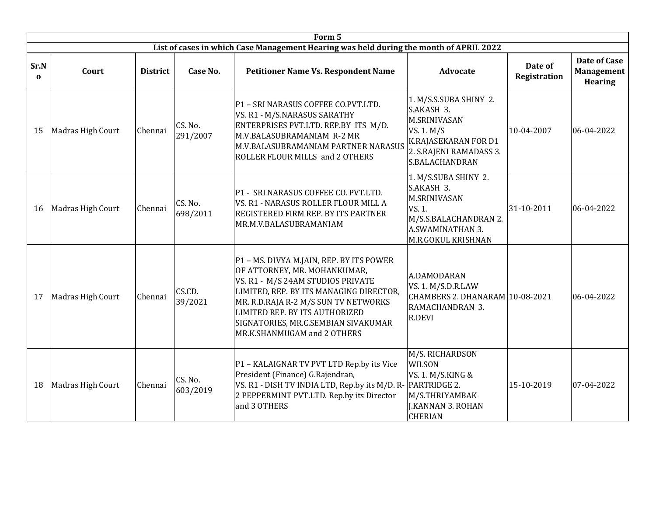|                  |                   |                 |                     | Form 5                                                                                                                                                                                                                                                                                                   |                                                                                                                                                |                         |                                                     |
|------------------|-------------------|-----------------|---------------------|----------------------------------------------------------------------------------------------------------------------------------------------------------------------------------------------------------------------------------------------------------------------------------------------------------|------------------------------------------------------------------------------------------------------------------------------------------------|-------------------------|-----------------------------------------------------|
|                  |                   |                 |                     | List of cases in which Case Management Hearing was held during the month of APRIL 2022                                                                                                                                                                                                                   |                                                                                                                                                |                         |                                                     |
| Sr.N<br>$\Omega$ | Court             | <b>District</b> | Case No.            | <b>Petitioner Name Vs. Respondent Name</b>                                                                                                                                                                                                                                                               | <b>Advocate</b>                                                                                                                                | Date of<br>Registration | Date of Case<br><b>Management</b><br><b>Hearing</b> |
| 15               | Madras High Court | Chennai         | CS. No.<br>291/2007 | P1 - SRI NARASUS COFFEE CO.PVT.LTD.<br>VS. R1 - M/S.NARASUS SARATHY<br>ENTERPRISES PVT.LTD. REP.BY ITS M/D.<br>M.V.BALASUBRAMANIAM R-2 MR<br>M.V.BALASUBRAMANIAM PARTNER NARASUS<br>ROLLER FLOUR MILLS and 2 OTHERS                                                                                      | 1. M/S.S.SUBA SHINY 2.<br>S.AKASH 3.<br><b>M.SRINIVASAN</b><br>VS. 1. M/S<br>K.RAJASEKARAN FOR D1<br>2. S.RAJENI RAMADASS 3.<br>S.BALACHANDRAN | 10-04-2007              | 06-04-2022                                          |
| 16               | Madras High Court | Chennai         | CS. No.<br>698/2011 | P1 - SRI NARASUS COFFEE CO. PVT.LTD.<br>VS. R1 - NARASUS ROLLER FLOUR MILL A<br>REGISTERED FIRM REP. BY ITS PARTNER<br>MR.M.V.BALASUBRAMANIAM                                                                                                                                                            | 1. M/S.SUBA SHINY 2.<br>S.AKASH 3.<br><b>M.SRINIVASAN</b><br>VS. 1.<br>M/S.S.BALACHANDRAN 2.<br>A.SWAMINATHAN 3.<br>M.R.GOKUL KRISHNAN         | 31-10-2011              | 06-04-2022                                          |
| 17               | Madras High Court | Chennai         | CS.CD.<br>39/2021   | P1 - MS. DIVYA M.JAIN, REP. BY ITS POWER<br>OF ATTORNEY, MR. MOHANKUMAR,<br>VS. R1 - M/S 24AM STUDIOS PRIVATE<br>LIMITED, REP. BY ITS MANAGING DIRECTOR,<br>MR. R.D.RAJA R-2 M/S SUN TV NETWORKS<br>LIMITED REP. BY ITS AUTHORIZED<br>SIGNATORIES, MR.C.SEMBIAN SIVAKUMAR<br>MR.K.SHANMUGAM and 2 OTHERS | A.DAMODARAN<br>VS. 1. M/S.D.R.LAW<br>CHAMBERS 2. DHANARAM 10-08-2021<br>RAMACHANDRAN 3.<br>R.DEVI                                              |                         | 06-04-2022                                          |
| 18               | Madras High Court | Chennai         | CS. No.<br>603/2019 | P1 - KALAIGNAR TV PVT LTD Rep.by its Vice<br>President (Finance) G.Rajendran,<br>VS. R1 - DISH TV INDIA LTD, Rep.by its M/D. R- PARTRIDGE 2.<br>2 PEPPERMINT PVT.LTD. Rep.by its Director<br>and 3 OTHERS                                                                                                | M/S. RICHARDSON<br>WILSON<br>VS. 1. M/S.KING &<br>M/S.THRIYAMBAK<br><b>J.KANNAN 3. ROHAN</b><br><b>CHERIAN</b>                                 | 15-10-2019              | 07-04-2022                                          |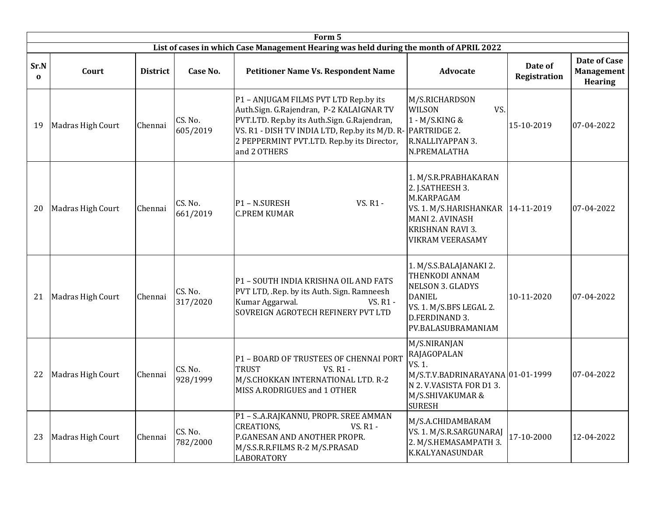|                  |                   |                 |                     | Form 5                                                                                                                                                                                                                                           |                                                                                                                                                                        |                                |                                                            |
|------------------|-------------------|-----------------|---------------------|--------------------------------------------------------------------------------------------------------------------------------------------------------------------------------------------------------------------------------------------------|------------------------------------------------------------------------------------------------------------------------------------------------------------------------|--------------------------------|------------------------------------------------------------|
|                  |                   |                 |                     | List of cases in which Case Management Hearing was held during the month of APRIL 2022                                                                                                                                                           |                                                                                                                                                                        |                                |                                                            |
| Sr.N<br>$\Omega$ | Court             | <b>District</b> | Case No.            | <b>Petitioner Name Vs. Respondent Name</b>                                                                                                                                                                                                       | Advocate                                                                                                                                                               | Date of<br><b>Registration</b> | <b>Date of Case</b><br><b>Management</b><br><b>Hearing</b> |
| 19               | Madras High Court | Chennai         | CS. No.<br>605/2019 | P1 - ANJUGAM FILMS PVT LTD Rep.by its<br>Auth.Sign. G.Rajendran, P-2 KALAIGNAR TV<br>PVT.LTD. Rep.by its Auth.Sign. G.Rajendran,<br>VS. R1 - DISH TV INDIA LTD, Rep.by its M/D. R-<br>2 PEPPERMINT PVT.LTD. Rep.by its Director,<br>and 2 OTHERS | M/S.RICHARDSON<br>VS.<br><b>WILSON</b><br>1 - M/S.KING &<br>PARTRIDGE 2.<br>R.NALLIYAPPAN 3.<br>N.PREMALATHA                                                           | 15-10-2019                     | 07-04-2022                                                 |
| 20               | Madras High Court | Chennai         | CS. No.<br>661/2019 | <b>VS. R1 -</b><br>P1 - N.SURESH<br><b>C.PREM KUMAR</b>                                                                                                                                                                                          | 1. M/S.R.PRABHAKARAN<br>2. J.SATHEESH 3.<br>M.KARPAGAM<br>VS. 1. M/S.HARISHANKAR   14-11-2019<br><b>MANI 2. AVINASH</b><br>KRISHNAN RAVI 3.<br><b>VIKRAM VEERASAMY</b> |                                | 07-04-2022                                                 |
| 21               | Madras High Court | Chennai         | CS. No.<br>317/2020 | P1 - SOUTH INDIA KRISHNA OIL AND FATS<br>PVT LTD, .Rep. by its Auth. Sign. Ramneesh<br>Kumar Aggarwal.<br>VS. R1 -<br>SOVREIGN AGROTECH REFINERY PVT LTD                                                                                         | 1. M/S.S.BALAJANAKI 2.<br>THENKODI ANNAM<br><b>NELSON 3. GLADYS</b><br><b>DANIEL</b><br>VS. 1. M/S.BFS LEGAL 2.<br>D.FERDINAND 3.<br>PV.BALASUBRAMANIAM                | 10-11-2020                     | 07-04-2022                                                 |
| 22               | Madras High Court | Chennai         | CS. No.<br>928/1999 | P1 - BOARD OF TRUSTEES OF CHENNAI PORT<br><b>TRUST</b><br><b>VS. R1 -</b><br>M/S.CHOKKAN INTERNATIONAL LTD. R-2<br>MISS A.RODRIGUES and 1 OTHER                                                                                                  | M/S.NIRANJAN<br>RAJAGOPALAN<br>VS. 1.<br>M/S.T.V.BADRINARAYANA 01-01-1999<br>N 2. V VASISTA FOR D13.<br>M/S.SHIVAKUMAR &<br><b>SURESH</b>                              |                                | 07-04-2022                                                 |
| 23               | Madras High Court | Chennai         | CS. No.<br>782/2000 | P1 - SA.RAJKANNU, PROPR. SREE AMMAN<br><b>CREATIONS.</b><br><b>VS. R1 -</b><br>P.GANESAN AND ANOTHER PROPR.<br>M/S.S.R.R.FILMS R-2 M/S.PRASAD<br><b>LABORATORY</b>                                                                               | M/S.A.CHIDAMBARAM<br>VS. 1. M/S.R.SARGUNARAJ<br>2. M/S.HEMASAMPATH 3.<br>K.KALYANASUNDAR                                                                               | 17-10-2000                     | 12-04-2022                                                 |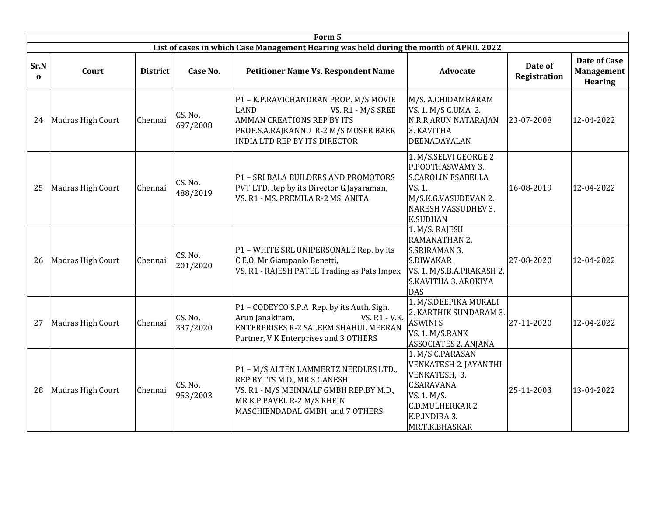|                  |                   |                 |                     | Form 5                                                                                                                                                                                         |                                                                                                                                                            |                         |                                                            |
|------------------|-------------------|-----------------|---------------------|------------------------------------------------------------------------------------------------------------------------------------------------------------------------------------------------|------------------------------------------------------------------------------------------------------------------------------------------------------------|-------------------------|------------------------------------------------------------|
|                  |                   |                 |                     | List of cases in which Case Management Hearing was held during the month of APRIL 2022                                                                                                         |                                                                                                                                                            |                         |                                                            |
| Sr.N<br>$\Omega$ | Court             | <b>District</b> | Case No.            | <b>Petitioner Name Vs. Respondent Name</b>                                                                                                                                                     | <b>Advocate</b>                                                                                                                                            | Date of<br>Registration | <b>Date of Case</b><br><b>Management</b><br><b>Hearing</b> |
| 24               | Madras High Court | Chennai         | CS. No.<br>697/2008 | P1 - K.P.RAVICHANDRAN PROP. M/S MOVIE<br><b>LAND</b><br>VS. R1 - M/S SREE<br><b>AMMAN CREATIONS REP BY ITS</b><br>PROP.S.A.RAJKANNU R-2 M/S MOSER BAER<br><b>INDIA LTD REP BY ITS DIRECTOR</b> | M/S. A.CHIDAMBARAM<br><b>VS. 1. M/S C.UMA 2.</b><br>N.R.R.ARUN NATARAJAN<br>3. KAVITHA<br>DEENADAYALAN                                                     | 23-07-2008              | 12-04-2022                                                 |
| 25               | Madras High Court | Chennai         | CS. No.<br>488/2019 | P1 - SRI BALA BUILDERS AND PROMOTORS<br>PVT LTD, Rep.by its Director G.Jayaraman,<br>VS. R1 - MS. PREMILA R-2 MS. ANITA                                                                        | 1. M/S.SELVI GEORGE 2.<br>P.POOTHASWAMY 3.<br><b>S.CAROLIN ESABELLA</b><br>VS. 1.<br>M/S.K.G.VASUDEVAN 2.<br><b>NARESH VASSUDHEV 3.</b><br><b>K.SUDHAN</b> | 16-08-2019              | 12-04-2022                                                 |
| 26               | Madras High Court | Chennai         | CS. No.<br>201/2020 | P1 - WHITE SRL UNIPERSONALE Rep. by its<br>C.E.O, Mr.Giampaolo Benetti,<br>VS. R1 - RAJESH PATEL Trading as Pats Impex                                                                         | 1. M/S. RAJESH<br>RAMANATHAN 2.<br><b>S.SRIRAMAN 3.</b><br>S.DIWAKAR<br>VS. 1. M/S.B.A.PRAKASH 2.<br>S.KAVITHA 3. AROKIYA<br><b>DAS</b>                    | 27-08-2020              | 12-04-2022                                                 |
| 27               | Madras High Court | Chennai         | CS. No.<br>337/2020 | P1 - CODEYCO S.P.A Rep. by its Auth. Sign.<br>Arun Janakiram,<br><b>VS. R1 - V.K.</b><br><b>ENTERPRISES R-2 SALEEM SHAHUL MEERAN</b><br>Partner, V K Enterprises and 3 OTHERS                  | 1. M/S.DEEPIKA MURALI<br>2. KARTHIK SUNDARAM 3.<br><b>ASWINI S</b><br>VS. 1. M/S.RANK<br><b>ASSOCIATES 2. ANJANA</b>                                       | 27-11-2020              | 12-04-2022                                                 |
| 28               | Madras High Court | Chennai         | CS. No.<br>953/2003 | P1 - M/S ALTEN LAMMERTZ NEEDLES LTD.,<br>REP.BY ITS M.D., MR S.GANESH<br>VS. R1 - M/S MEINNALF GMBH REP.BY M.D.,<br>MR K.P.PAVEL R-2 M/S RHEIN<br>MASCHIENDADAL GMBH and 7 OTHERS              | 1. M/S C.PARASAN<br>VENKATESH 2. JAYANTHI<br>VENKATESH, 3.<br><b>C.SARAVANA</b><br>VS. 1. M/S.<br>C.D.MULHERKAR 2.<br>K.P.INDIRA 3.<br>MR.T.K.BHASKAR      | 25-11-2003              | 13-04-2022                                                 |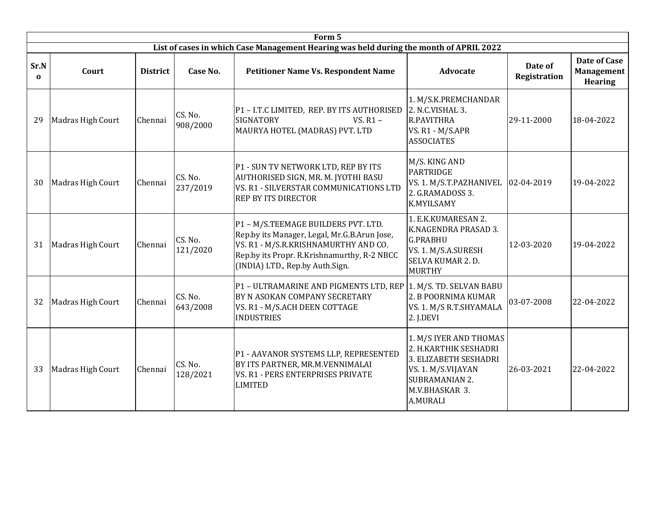|                  | Form 5            |                 |                     |                                                                                                                                                                                                               |                                                                                                                                                              |                         |                                                     |  |  |  |  |
|------------------|-------------------|-----------------|---------------------|---------------------------------------------------------------------------------------------------------------------------------------------------------------------------------------------------------------|--------------------------------------------------------------------------------------------------------------------------------------------------------------|-------------------------|-----------------------------------------------------|--|--|--|--|
|                  |                   |                 |                     | List of cases in which Case Management Hearing was held during the month of APRIL 2022                                                                                                                        |                                                                                                                                                              |                         |                                                     |  |  |  |  |
| Sr.N<br>$\Omega$ | Court             | <b>District</b> | Case No.            | <b>Petitioner Name Vs. Respondent Name</b>                                                                                                                                                                    | <b>Advocate</b>                                                                                                                                              | Date of<br>Registration | Date of Case<br><b>Management</b><br><b>Hearing</b> |  |  |  |  |
| 29               | Madras High Court | Chennai         | CS. No.<br>908/2000 | P1 - I.T.C LIMITED, REP. BY ITS AUTHORISED<br><b>SIGNATORY</b><br>VS. $R1 -$<br>MAURYA HOTEL (MADRAS) PVT. LTD                                                                                                | 1. M/S.K.PREMCHANDAR<br>2. N.C.VISHAL 3.<br>R.PAVITHRA<br>VS. R1 - M/S.APR<br><b>ASSOCIATES</b>                                                              | 29-11-2000              | 18-04-2022                                          |  |  |  |  |
| 30               | Madras High Court | Chennai         | CS. No.<br>237/2019 | P1 - SUN TV NETWORK LTD, REP BY ITS<br>AUTHORISED SIGN, MR. M. JYOTHI BASU<br>VS. R1 - SILVERSTAR COMMUNICATIONS LTD<br><b>REP BY ITS DIRECTOR</b>                                                            | M/S. KING AND<br><b>PARTRIDGE</b><br>VS. 1. M/S.T.PAZHANIVEL<br>2. G.RAMADOSS 3.<br><b>K.MYILSAMY</b>                                                        | 02-04-2019              | 19-04-2022                                          |  |  |  |  |
| 31               | Madras High Court | Chennai         | CS. No.<br>121/2020 | P1 - M/S.TEEMAGE BUILDERS PVT. LTD.<br>Rep.by its Manager, Legal, Mr.G.B.Arun Jose,<br>VS. R1 - M/S.R.KRISHNAMURTHY AND CO.<br>Rep.by its Propr. R.Krishnamurthy, R-2 NBCC<br>(INDIA) LTD., Rep.by Auth.Sign. | 1. E.K.KUMARESAN 2.<br>K.NAGENDRA PRASAD 3.<br><b>G.PRABHU</b><br>VS. 1. M/S.A.SURESH<br>SELVA KUMAR 2. D.<br><b>MURTHY</b>                                  | 12-03-2020              | 19-04-2022                                          |  |  |  |  |
| 32               | Madras High Court | Chennai         | CS. No.<br>643/2008 | P1 - ULTRAMARINE AND PIGMENTS LTD, REP<br>BY N ASOKAN COMPANY SECRETARY<br>VS. R1 - M/S.ACH DEEN COTTAGE<br><b>INDUSTRIES</b>                                                                                 | 1. M/S. TD. SELVAN BABU<br>2. B POORNIMA KUMAR<br>VS. 1. M/S R.T.SHYAMALA<br>2. J.DEVI                                                                       | 03-07-2008              | 22-04-2022                                          |  |  |  |  |
| 33               | Madras High Court | Chennai         | CS. No.<br>128/2021 | P1 - AAVANOR SYSTEMS LLP, REPRESENTED<br>BY ITS PARTNER, MR.M.VENNIMALAI<br>VS. R1 - PERS ENTERPRISES PRIVATE<br><b>LIMITED</b>                                                                               | 1. M/S IYER AND THOMAS<br>2. H.KARTHIK SESHADRI<br>3. ELIZABETH SESHADRI<br>VS. 1. M/S.VIJAYAN<br><b>SUBRAMANIAN 2.</b><br><b>M.V.BHASKAR 3.</b><br>A.MURALI | 26-03-2021              | 22-04-2022                                          |  |  |  |  |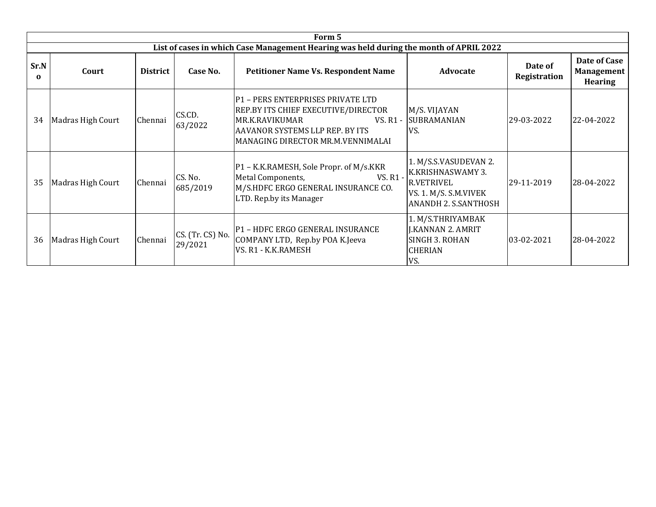|                  | Form 5            |                 |                             |                                                                                                                                                                                       |                                                                                                                                |                         |                                                     |  |  |  |  |  |  |
|------------------|-------------------|-----------------|-----------------------------|---------------------------------------------------------------------------------------------------------------------------------------------------------------------------------------|--------------------------------------------------------------------------------------------------------------------------------|-------------------------|-----------------------------------------------------|--|--|--|--|--|--|
|                  |                   |                 |                             | List of cases in which Case Management Hearing was held during the month of APRIL 2022                                                                                                |                                                                                                                                |                         |                                                     |  |  |  |  |  |  |
| Sr.N<br>$\Omega$ | Court             | <b>District</b> | Case No.                    | <b>Petitioner Name Vs. Respondent Name</b>                                                                                                                                            | <b>Advocate</b>                                                                                                                | Date of<br>Registration | Date of Case<br><b>Management</b><br><b>Hearing</b> |  |  |  |  |  |  |
| 34               | Madras High Court | Chennai         | CS.CD.<br>63/2022           | P1 - PERS ENTERPRISES PRIVATE LTD<br>REP.BY ITS CHIEF EXECUTIVE/DIRECTOR<br><b>MR.K.RAVIKUMAR</b><br>VS. R1 -<br>AAVANOR SYSTEMS LLP REP. BY ITS<br>MANAGING DIRECTOR MR.M.VENNIMALAI | M/S. VIJAYAN<br><b>SUBRAMANIAN</b><br>VS.                                                                                      | 29-03-2022              | 22-04-2022                                          |  |  |  |  |  |  |
| 35               | Madras High Court | Chennai         | CS. No.<br>685/2019         | P1 - K.K.RAMESH, Sole Propr. of M/s.KKR<br>Metal Components,<br>VS. R1 -<br>M/S.HDFC ERGO GENERAL INSURANCE CO.<br>LTD. Rep.by its Manager                                            | 1. M/S.S.VASUDEVAN 2.<br><b>K.KRISHNASWAMY 3.</b><br><b>R.VETRIVEL</b><br>VS. 1. M/S. S.M.VIVEK<br><b>ANANDH 2. S.SANTHOSH</b> | 29-11-2019              | 28-04-2022                                          |  |  |  |  |  |  |
| 36               | Madras High Court | Chennai         | CS. (Tr. CS) No.<br>29/2021 | P1 - HDFC ERGO GENERAL INSURANCE<br>COMPANY LTD, Rep.by POA K.Jeeva<br>VS. R1 - K.K.RAMESH                                                                                            | 1. M/S.THRIYAMBAK<br><b>J.KANNAN 2. AMRIT</b><br>SINGH 3. ROHAN<br><b>CHERIAN</b><br>VS.                                       | $ 03-02-2021 $          | 28-04-2022                                          |  |  |  |  |  |  |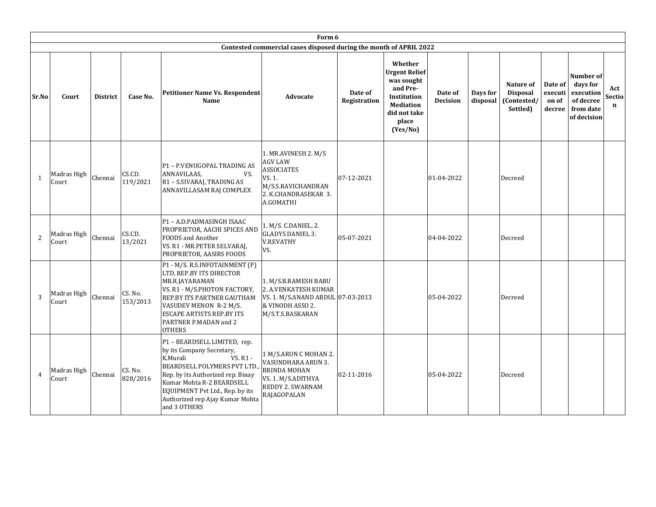|                |                      |                 |                     |                                                                                                                                                                                                                                                                                 | Form 6                                                                                                                      |                         |                                                                                                                                          |                            |                      |                                                         |                                       |                                                                             |                                     |
|----------------|----------------------|-----------------|---------------------|---------------------------------------------------------------------------------------------------------------------------------------------------------------------------------------------------------------------------------------------------------------------------------|-----------------------------------------------------------------------------------------------------------------------------|-------------------------|------------------------------------------------------------------------------------------------------------------------------------------|----------------------------|----------------------|---------------------------------------------------------|---------------------------------------|-----------------------------------------------------------------------------|-------------------------------------|
|                |                      |                 |                     |                                                                                                                                                                                                                                                                                 | Contested commercial cases disposed during the month of APRIL 2022                                                          |                         |                                                                                                                                          |                            |                      |                                                         |                                       |                                                                             |                                     |
| Sr.No          | Court                | <b>District</b> | Case No.            | <b>Petitioner Name Vs. Respondent</b><br>Name                                                                                                                                                                                                                                   | Advocate                                                                                                                    | Date of<br>Registration | Whether<br><b>Urgent Relief</b><br>was sought<br>and Pre-<br><b>Institution</b><br><b>Mediation</b><br>did not take<br>place<br>(Yes/No) | Date of<br><b>Decision</b> | Days for<br>disposal | Nature of<br><b>Disposal</b><br>(Contested/<br>Settled) | Date of<br>executi<br>on of<br>decree | Number of<br>days for<br>execution<br>of decree<br>from date<br>of decision | Act<br><b>Sectio</b><br>$\mathbf n$ |
| $\mathbf{1}$   | Madras High<br>Court | Chennai         | CS.CD.<br>119/2021  | P1 - P.VENUGOPAL TRADING AS<br>ANNAVILAAS,<br>VS.<br>R1 - S.SIVARAJ, TRADING AS<br>ANNAVILLASAM RAJ COMPLEX                                                                                                                                                                     | 1. MR.AVINESH 2. M/S<br>AGV LAW<br>ASSOCIATES<br>VS. 1.<br>M/S.S.RAVICHANDRAN<br>2. K.CHANDRASEKAR 3.<br>A.GOMATHI          | 07-12-2021              |                                                                                                                                          | 01-04-2022                 |                      | Decreed                                                 |                                       |                                                                             |                                     |
| $\overline{2}$ | Madras High<br>Court | Chennai         | CS.CD.<br>13/2021   | P1 - A.D.PADMASINGH ISAAC<br>PROPRIETOR, AACHI SPICES AND<br><b>FOODS</b> and Another<br>VS. R1 - MR.PETER SELVARAJ,<br>PROPRIETOR, AASIRS FOODS                                                                                                                                | 1. M/S. C.DANIEL, 2.<br><b>GLADYS DANIEL 3.</b><br><b>V.REVATHY</b><br>VS.                                                  | 05-07-2021              |                                                                                                                                          | 04-04-2022                 |                      | Decreed                                                 |                                       |                                                                             |                                     |
| 3              | Madras High<br>Court | Chennai         | CS. No.<br>153/2013 | P1 - M/S. R.S.INFOTAINMENT (P)<br>LTD, REP.BY ITS DIRECTOR<br>MR.R.JAYARAMAN<br>VS. R1 - M/S.PHOTON FACTORY,<br>REP.BY ITS PARTNER GAUTHAM<br>VASUDEV MENON R-2 M/S.<br><b>ESCAPE ARTISTS REP.BY ITS</b><br>PARTNER P.MADAN and 2<br><b>OTHERS</b>                              | 1. M/S.B.RAMESH BABU<br>2. A.VENKATESH KUMAR<br>VS. 1. M/S.ANAND ABDUL 07-03-2013<br>& VINODH ASSO 2.<br>M/S.T.S.BASKARAN   |                         |                                                                                                                                          | 05-04-2022                 |                      | Decreed                                                 |                                       |                                                                             |                                     |
| $\overline{4}$ | Madras High<br>Court | Chennai         | CS. No.<br>828/2016 | P1 - BEARDSELL LIMITED, rep.<br>by its Company Secretary,<br>K.Murali<br>VS. R1 -<br><b>BEARDSELL POLYMERS PVT LTD.</b><br>Rep. by its Authorized rep. Binay<br>Kumar Mohta R-2 BEARDSELL<br>EQUIPMENT Pvt Ltd., Rep. by its<br>Authorized rep Ajay Kumar Mohta<br>and 3 OTHERS | 1 M/S.ARUN C MOHAN 2.<br>VASUNDHARA ARUN 3.<br><b>BRINDA MOHAN</b><br>VS. 1. M/S.ADITHYA<br>REDDY 2. SWARNAM<br>RAJAGOPALAN | 02-11-2016              |                                                                                                                                          | 05-04-2022                 |                      | Decreed                                                 |                                       |                                                                             |                                     |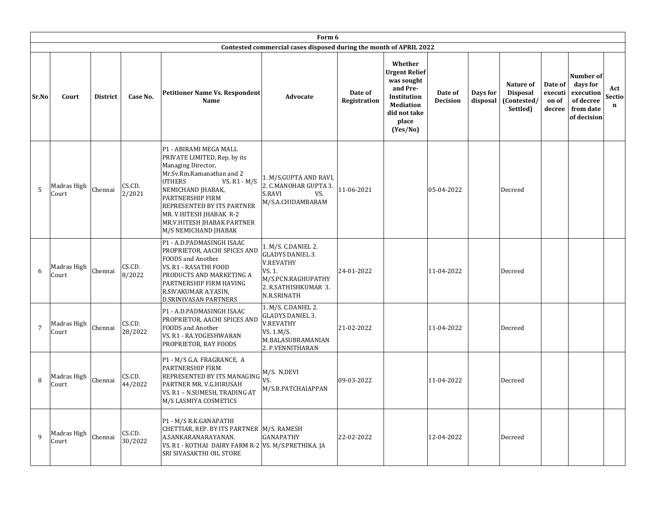|                | Form 6               |                 |                   |                                                                                                                                                                                                                                                                                                                    |                                                                                                                             |                         |                                                                                                                                   |                     |                      |                                                         |                                       |                                                                             |                    |
|----------------|----------------------|-----------------|-------------------|--------------------------------------------------------------------------------------------------------------------------------------------------------------------------------------------------------------------------------------------------------------------------------------------------------------------|-----------------------------------------------------------------------------------------------------------------------------|-------------------------|-----------------------------------------------------------------------------------------------------------------------------------|---------------------|----------------------|---------------------------------------------------------|---------------------------------------|-----------------------------------------------------------------------------|--------------------|
|                |                      |                 |                   |                                                                                                                                                                                                                                                                                                                    | Contested commercial cases disposed during the month of APRIL 2022                                                          |                         |                                                                                                                                   |                     |                      |                                                         |                                       |                                                                             |                    |
| Sr.No          | Court                | <b>District</b> | Case No.          | <b>Petitioner Name Vs. Respondent</b><br>Name                                                                                                                                                                                                                                                                      | Advocate                                                                                                                    | Date of<br>Registration | Whether<br><b>Urgent Relief</b><br>was sought<br>and Pre-<br>Institution<br><b>Mediation</b><br>did not take<br>place<br>(Yes/No) | Date of<br>Decision | Days for<br>disposal | Nature of<br><b>Disposal</b><br>(Contested/<br>Settled) | Date of<br>executi<br>on of<br>decree | Number of<br>days for<br>execution<br>of decree<br>from date<br>of decision | Act<br>Sectio<br>n |
| 5              | Madras High<br>Court | Chennai         | CS.CD.<br>2/2021  | P1 - ABIRAMI MEGA MALL<br>PRIVATE LIMITED, Rep. by its<br>Managing Director,<br>Mr.Sv.Rm.Ramanathan and 2<br><b>OTHERS</b><br>VS. $R1 - M/S$<br>NEMICHAND JHABAK,<br><b>PARTNERSHIP FIRM</b><br><b>REPRESENTED BY ITS PARTNER</b><br>MR. V.HITESH JHABAK R-2<br>MR.V.HITESH JHABAK PARTNER<br>M/S NEMICHAND JHABAK | 1. M/S.GUPTA AND RAVI,<br>2. C.MANOHAR GUPTA 3.<br>S.RAVI<br>VS.<br>M/S.A.CHIDAMBARAM                                       | 11-06-2021              |                                                                                                                                   | 05-04-2022          |                      | Decreed                                                 |                                       |                                                                             |                    |
| 6              | Madras High<br>Court | Chennai         | CS.CD.<br>8/2022  | P1 - A.D.PADMASINGH ISAAC<br>PROPRIETOR, AACHI SPICES AND<br><b>FOODS</b> and Another<br>VS. R1 - RASATHI FOOD<br>PRODUCTS AND MARKETING A<br>PARTNERSHIP FIRM HAVING<br>R.SIVAKUMAR A.YASIN,<br><b>D.SRINIVASAN PARTNERS</b>                                                                                      | 1. M/S. C.DANIEL 2.<br>GLADYS DANIEL 3.<br>V.REVATHY<br>VS. 1.<br>M/S.PCN.RAGHUPATHY<br>2. R.SATHISHKUMAR 3.<br>N.R.SRINATH | 24-01-2022              |                                                                                                                                   | 11-04-2022          |                      | Decreed                                                 |                                       |                                                                             |                    |
| $\overline{7}$ | Madras High<br>Court | Chennai         | CS.CD.<br>28/2022 | P1 - A.D.PADMASINGH ISAAC<br>PROPRIETOR, AACHI SPICES AND<br>FOODS and Another<br>VS. R1 - RA.YOGESHWARAN<br>PROPRIETOR, RAY FOODS                                                                                                                                                                                 | 1. M/S. C.DANIEL 2.<br><b>GLADYS DANIEL 3.</b><br><b>V.REVATHY</b><br>VS. 1.M/S.<br>M.BALASUBRAMANIAN<br>2. P.VENNITHARAN   | 21-02-2022              |                                                                                                                                   | 11-04-2022          |                      | Decreed                                                 |                                       |                                                                             |                    |
| 8              | Madras High<br>Court | Chennai         | CS.CD.<br>44/2022 | P1 - M/S G.A. FRAGRANCE, A<br>PARTNERSHIP FIRM<br><b>REPRESENTED BY ITS MANAGING</b><br>PARTNER MR. V.G.HIRUSAH<br>VS. R1 - N.SUMESH, TRADING AT<br>M/S LASMIYA COSMETICS                                                                                                                                          | M/S. N.DEVI<br>VS.<br>M/S.B.PATCHAIAPPAN                                                                                    | 09-03-2022              |                                                                                                                                   | 11-04-2022          |                      | Decreed                                                 |                                       |                                                                             |                    |
| $\mathbf{q}$   | Madras High<br>Court | Chennai         | CS.CD.<br>30/2022 | P1 - M/S R.K.GANAPATHI<br>CHETTIAR, REP. BY ITS PARTNER   M/S. RAMESH<br>A.SANKARANARAYANAN.<br>VS. R1 - KOTHAI DAIRY FARM R-2 VS. M/S.PRETHIKA. JA<br><b>SRI SIVASAKTHI OIL STORE</b>                                                                                                                             | GANAPATHY                                                                                                                   | 22-02-2022              |                                                                                                                                   | 12-04-2022          |                      | Decreed                                                 |                                       |                                                                             |                    |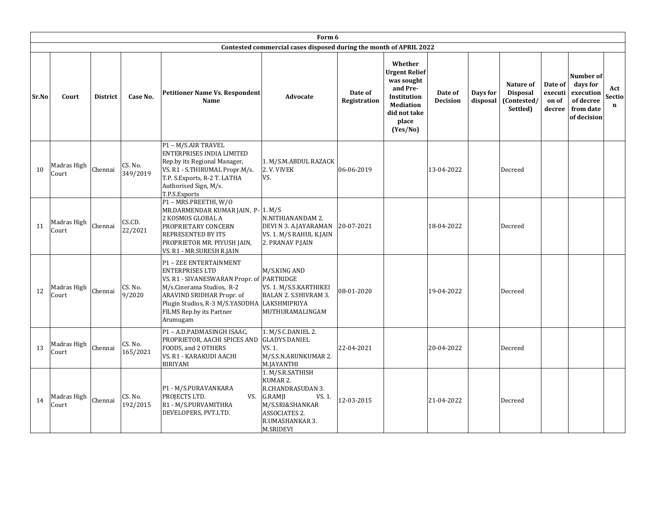|       | Form 6               |                 |                     |                                                                                                                                                                                                                                    |                                                                                                                                            |                         |                                                                                                                                   |                            |                      |                                                         |                                       |                                                                             |                              |
|-------|----------------------|-----------------|---------------------|------------------------------------------------------------------------------------------------------------------------------------------------------------------------------------------------------------------------------------|--------------------------------------------------------------------------------------------------------------------------------------------|-------------------------|-----------------------------------------------------------------------------------------------------------------------------------|----------------------------|----------------------|---------------------------------------------------------|---------------------------------------|-----------------------------------------------------------------------------|------------------------------|
|       |                      |                 |                     |                                                                                                                                                                                                                                    | Contested commercial cases disposed during the month of APRIL 2022                                                                         |                         |                                                                                                                                   |                            |                      |                                                         |                                       |                                                                             |                              |
| Sr.No | Court                | <b>District</b> | Case No.            | Petitioner Name Vs. Respondent<br>Name                                                                                                                                                                                             | Advocate                                                                                                                                   | Date of<br>Registration | Whether<br><b>Urgent Relief</b><br>was sought<br>and Pre-<br>Institution<br><b>Mediation</b><br>did not take<br>place<br>(Yes/No) | Date of<br><b>Decision</b> | Days for<br>disposal | Nature of<br><b>Disposal</b><br>(Contested/<br>Settled) | Date of<br>executi<br>on of<br>decree | Number of<br>days for<br>execution<br>of decree<br>from date<br>of decision | Act<br>Sectio<br>$\mathbf n$ |
| 10    | Madras High<br>Court | Chennai         | CS. No.<br>349/2019 | P1 - M/S.AIR TRAVEL<br><b>ENTERPRISES INDIA LIMITED</b><br>Rep.by its Regional Manager,<br>VS. R1 - S.THIRUMAL Propr.M/s.<br>T.P. S. Exports, R-2 T. LATHA<br>Authorised Sign, M/s.<br>T.P.S.Exports                               | 1. M/S.M.ABDUL RAZACK<br>2. V. VIVEK<br>VS.                                                                                                | 06-06-2019              |                                                                                                                                   | 13-04-2022                 |                      | Decreed                                                 |                                       |                                                                             |                              |
| 11    | Madras High<br>Court | Chennai         | CS.CD.<br>22/2021   | P1 - MRS.PREETHI, W/O<br>MR.DARMENDAR KUMAR JAIN, P-1. M/S<br>2 KOSMOS GLOBAL A<br><b>PROPRIETARY CONCERN</b><br><b>REPRESENTED BY ITS</b><br>PROPRIETOR MR. PIYUSH JAIN,<br>VS. R1 - MR.SURESH R.JAIN                             | N.NITHIANANDAM 2.<br>DEVI N 3. A.JAYARAMAN<br>VS. 1. M/S RAHUL K.JAIN<br>2. PRANAV P.JAIN                                                  | 20-07-2021              |                                                                                                                                   | 18-04-2022                 |                      | Decreed                                                 |                                       |                                                                             |                              |
| 12    | Madras High<br>Court | Chennai         | CS. No.<br>9/2020   | P1 - ZEE ENTERTAINMENT<br><b>ENTERPRISES LTD</b><br>VS. R1 - SIVANESWARAN Propr. of PARTRIDGE<br>M/s.Cinerama Studios, R-2<br>ARAVIND SRIDHAR Propr. of<br>Plugin Studios, R-3 M/S.YASODHA<br>FILMS Rep.by its Partner<br>Arumugam | M/S.KING AND<br>VS. 1. M/S.S.KARTHIKEI<br>BALAN 2. S.SHIVRAM 3.<br>LAKSHMIPRIYA<br>MUTHURAMALINGAM                                         | 08-01-2020              |                                                                                                                                   | 19-04-2022                 |                      | Decreed                                                 |                                       |                                                                             |                              |
| 13    | Madras High<br>Court | Chennai         | CS. No.<br>165/2021 | P1 - A.D.PADMASINGH ISAAC,<br>PROPRIETOR, AACHI SPICES AND<br>FOODS, and 2 OTHERS<br>VS. R1 - KARAKUDI AACHI<br><b>BIRIYANI</b>                                                                                                    | 1. M/S C.DANIEL 2.<br><b>GLADYS DANIEL</b><br>VS. 1.<br>M/S.S.N.ARUNKUMAR 2.<br>M.JAYANTHI                                                 | 22-04-2021              |                                                                                                                                   | 20-04-2022                 |                      | Decreed                                                 |                                       |                                                                             |                              |
| 14    | Madras High<br>Court | Chennai         | CS. No.<br>192/2015 | P1 - M/S.PURAVANKARA<br>PROJECTS LTD.<br>VS.<br>R1 - M/S.PURVAMITHRA<br>DEVELOPERS, PVT.LTD.                                                                                                                                       | 1. M/S.R.SATHISH<br>KUMAR 2.<br>R.CHANDRASUDAN 3.<br>G.RAMJI<br>VS. 1.<br>M/S.SRI&SHANKAR<br>ASSOCIATES 2.<br>R.UMASHANKAR 3.<br>M.SRIDEVI | 12-03-2015              |                                                                                                                                   | 21-04-2022                 |                      | Decreed                                                 |                                       |                                                                             |                              |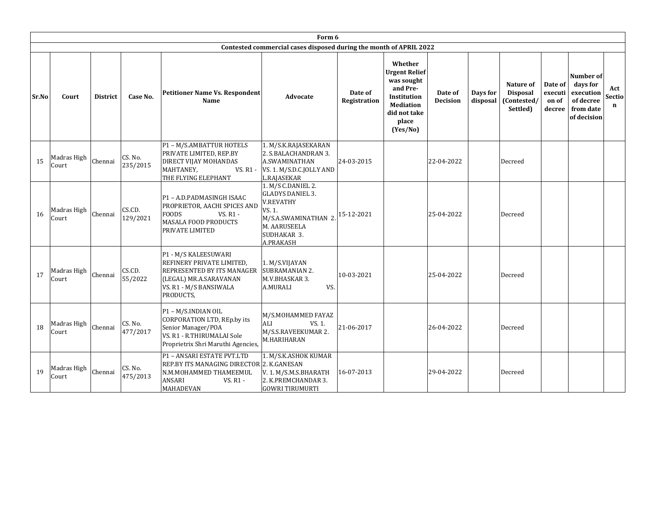|       |                      |                 |                     |                                                                                                                                                   | Form 6                                                                                                                                         |                         |                                                                                                                                   |                            |                      |                                                         |                                       |                                                                             |                              |
|-------|----------------------|-----------------|---------------------|---------------------------------------------------------------------------------------------------------------------------------------------------|------------------------------------------------------------------------------------------------------------------------------------------------|-------------------------|-----------------------------------------------------------------------------------------------------------------------------------|----------------------------|----------------------|---------------------------------------------------------|---------------------------------------|-----------------------------------------------------------------------------|------------------------------|
|       |                      |                 |                     |                                                                                                                                                   | Contested commercial cases disposed during the month of APRIL 2022                                                                             |                         |                                                                                                                                   |                            |                      |                                                         |                                       |                                                                             |                              |
| Sr.No | Court                | <b>District</b> | Case No.            | <b>Petitioner Name Vs. Respondent</b><br>Name                                                                                                     | <b>Advocate</b>                                                                                                                                | Date of<br>Registration | Whether<br><b>Urgent Relief</b><br>was sought<br>and Pre-<br>Institution<br><b>Mediation</b><br>did not take<br>place<br>(Yes/No) | Date of<br><b>Decision</b> | Days for<br>disposal | Nature of<br><b>Disposal</b><br>(Contested/<br>Settled) | Date of<br>executi<br>on of<br>decree | Number of<br>days for<br>execution<br>of decree<br>from date<br>of decision | Act<br>Sectio<br>$\mathbf n$ |
| 15    | Madras High<br>Court | Chennai         | CS. No.<br>235/2015 | P1 - M/S.AMBATTUR HOTELS<br>PRIVATE LIMITED, REP.BY<br>DIRECT VIJAY MOHANDAS<br>MAHTANEY,<br>VS. R1 -<br>THE FLYING ELEPHANT                      | 1. M/S.K.RAJASEKARAN<br>2. S.BALACHANDRAN 3.<br>A.SWAMINATHAN<br>VS. 1. M/S.D.C.JOLLY AND<br>L.RAJASEKAR                                       | 24-03-2015              |                                                                                                                                   | 22-04-2022                 |                      | Decreed                                                 |                                       |                                                                             |                              |
| 16    | Madras High<br>Court | Chennai         | CS.CD.<br>129/2021  | P1 - A.D.PADMASINGH ISAAC<br>PROPRIETOR, AACHI SPICES AND<br><b>FOODS</b><br>VS. R1 -<br><b>MASALA FOOD PRODUCTS</b><br><b>PRIVATE LIMITED</b>    | 1. M/S C.DANIEL 2.<br><b>GLADYS DANIEL 3.</b><br><b>V.REVATHY</b><br>VS. 1.<br>M/S.A.SWAMINATHAN 2<br>M. AARUSEELA<br>SUDHAKAR 3.<br>A.PRAKASH | 15-12-2021              |                                                                                                                                   | 25-04-2022                 |                      | Decreed                                                 |                                       |                                                                             |                              |
| 17    | Madras High<br>Court | Chennai         | CS.CD.<br>55/2022   | P1 - M/S KALEESUWARI<br>REFINERY PRIVATE LIMITED,<br>IREPRESENTED BY ITS MANAGER<br>(LEGAL) MR.A.SARAVANAN<br>VS. R1 - M/S BANSIWALA<br>PRODUCTS, | 1. M/S.VIJAYAN<br><b>SUBRAMANIAN 2.</b><br>M.V.BHASKAR 3.<br>A.MURALI<br>VS.                                                                   | 10-03-2021              |                                                                                                                                   | 25-04-2022                 |                      | Decreed                                                 |                                       |                                                                             |                              |
| 18    | Madras High<br>Court | Chennai         | CS. No.<br>477/2017 | P1 - M/S.INDIAN OIL<br>CORPORATION LTD, REp.by its<br>Senior Manager/POA<br>VS. R1 - R.THIRUMALAI Sole<br>Proprietrix Shri Maruthi Agencies,      | M/S.MOHAMMED FAYAZ<br>ALI<br>VS. 1.<br>M/S.S.RAVEEKUMAR 2.<br>M.HARIHARAN                                                                      | 21-06-2017              |                                                                                                                                   | 26-04-2022                 |                      | Decreed                                                 |                                       |                                                                             |                              |
| 19    | Madras High<br>Court | Chennai         | CS. No.<br>475/2013 | P1 - ANSARI ESTATE PVT.LTD<br>REP.BY ITS MANAGING DIRECTOR 2. K.GANESAN<br>N.M.MOHAMMED THAMEEMUL<br><b>ANSARI</b><br>VS. R1 -<br>MAHADEVAN       | 1. M/S.K.ASHOK KUMAR<br>V. 1. M/S.M.S.BHARATH<br>2. K.PREMCHANDAR 3.<br><b>GOWRI TIRUMURTI</b>                                                 | 16-07-2013              |                                                                                                                                   | 29-04-2022                 |                      | Decreed                                                 |                                       |                                                                             |                              |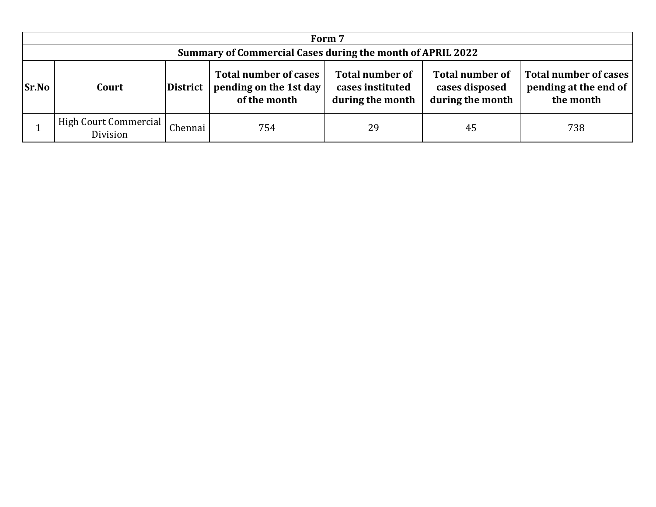|              | Form 7                                                                                                                                                                                                                                                                                       |  |  |  |  |  |  |  |  |  |  |  |
|--------------|----------------------------------------------------------------------------------------------------------------------------------------------------------------------------------------------------------------------------------------------------------------------------------------------|--|--|--|--|--|--|--|--|--|--|--|
|              | Summary of Commercial Cases during the month of APRIL 2022                                                                                                                                                                                                                                   |  |  |  |  |  |  |  |  |  |  |  |
| <b>Sr.No</b> | <b>Total number of</b><br>Total number of cases<br><b>Total number of cases</b><br><b>Total number of</b><br>pending at the end of<br>pending on the 1st day<br>cases instituted<br>cases disposed<br>District<br>Court<br>during the month<br>during the month<br>the month<br>of the month |  |  |  |  |  |  |  |  |  |  |  |
|              | High Court Commercial<br>Chennai<br>29<br>754<br>45<br>738<br>Division                                                                                                                                                                                                                       |  |  |  |  |  |  |  |  |  |  |  |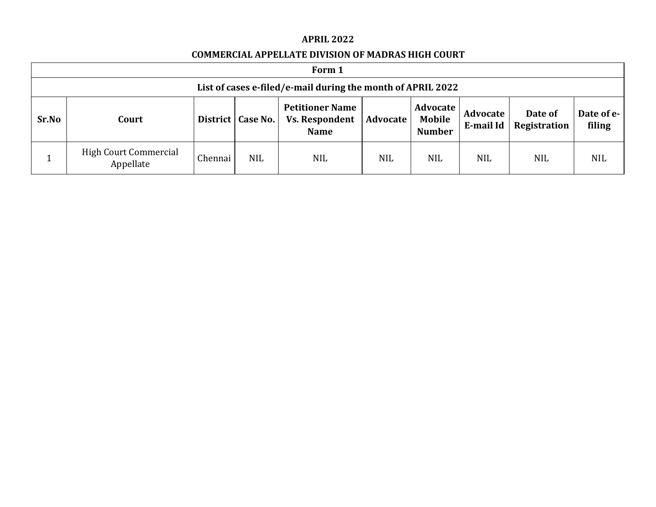#### **APRIL 2022**

## **COMMERCIAL APPELLATE DIVISION OF MADRAS HIGH COURT**

|       | Form 1                                                                                                                                                                                                                               |         |            |            |            |            |            |            |            |  |  |
|-------|--------------------------------------------------------------------------------------------------------------------------------------------------------------------------------------------------------------------------------------|---------|------------|------------|------------|------------|------------|------------|------------|--|--|
|       | List of cases e-filed/e-mail during the month of APRIL 2022                                                                                                                                                                          |         |            |            |            |            |            |            |            |  |  |
| Sr.No | <b>Petitioner Name</b><br>Advocate<br>Date of<br>Date of e-<br>Advocate<br>Mobile<br><b>Vs. Respondent</b><br><b>Advocate</b><br>District   Case No.<br>Court<br>Registration<br>filing<br>E-mail Id<br><b>Number</b><br><b>Name</b> |         |            |            |            |            |            |            |            |  |  |
|       | <b>High Court Commercial</b><br>Appellate                                                                                                                                                                                            | Chennai | <b>NIL</b> | <b>NIL</b> | <b>NIL</b> | <b>NIL</b> | <b>NIL</b> | <b>NIL</b> | <b>NIL</b> |  |  |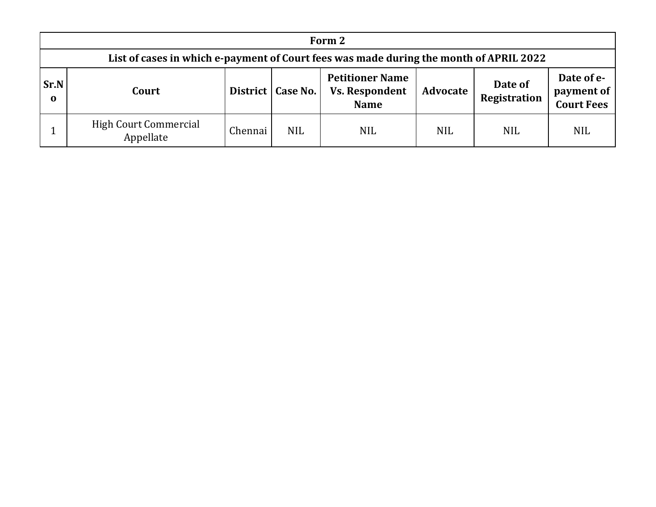|                  | Form 2                                                                                                                                                                                        |         |            |            |            |            |            |  |  |  |  |  |
|------------------|-----------------------------------------------------------------------------------------------------------------------------------------------------------------------------------------------|---------|------------|------------|------------|------------|------------|--|--|--|--|--|
|                  | List of cases in which e-payment of Court fees was made during the month of APRIL 2022                                                                                                        |         |            |            |            |            |            |  |  |  |  |  |
| Sr.N<br>$\bf{0}$ | Date of e-<br><b>Petitioner Name</b><br>Date of<br><b>Vs. Respondent</b><br>payment of<br>District   Case No.<br>Advocate<br>Court<br><b>Registration</b><br><b>Court Fees</b><br><b>Name</b> |         |            |            |            |            |            |  |  |  |  |  |
|                  | <b>High Court Commercial</b><br>Appellate                                                                                                                                                     | Chennai | <b>NIL</b> | <b>NIL</b> | <b>NIL</b> | <b>NIL</b> | <b>NIL</b> |  |  |  |  |  |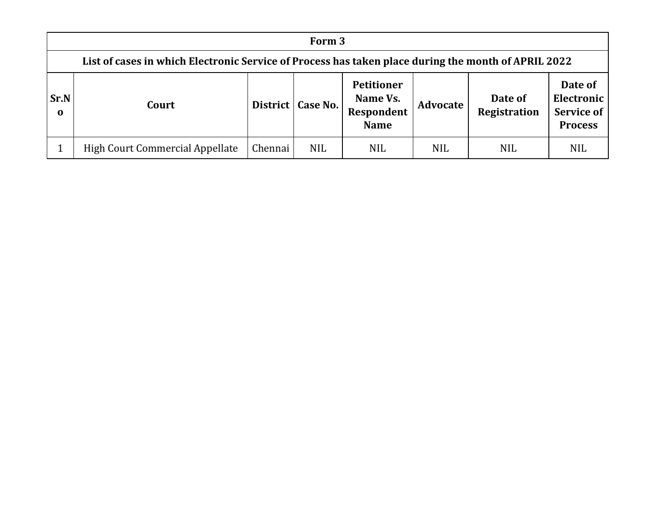|                      | Form 3                                                                                              |         |                     |                                                            |            |                                |                                                              |  |  |  |  |  |
|----------------------|-----------------------------------------------------------------------------------------------------|---------|---------------------|------------------------------------------------------------|------------|--------------------------------|--------------------------------------------------------------|--|--|--|--|--|
|                      | List of cases in which Electronic Service of Process has taken place during the month of APRIL 2022 |         |                     |                                                            |            |                                |                                                              |  |  |  |  |  |
| Sr.N <br>$\mathbf 0$ | Court                                                                                               |         | District   Case No. | <b>Petitioner</b><br>Name Vs.<br>Respondent<br><b>Name</b> | Advocate   | Date of<br><b>Registration</b> | Date of<br>Electronic<br><b>Service of</b><br><b>Process</b> |  |  |  |  |  |
|                      | High Court Commercial Appellate                                                                     | Chennai | <b>NIL</b>          | <b>NIL</b>                                                 | <b>NIL</b> | NIL                            | <b>NIL</b>                                                   |  |  |  |  |  |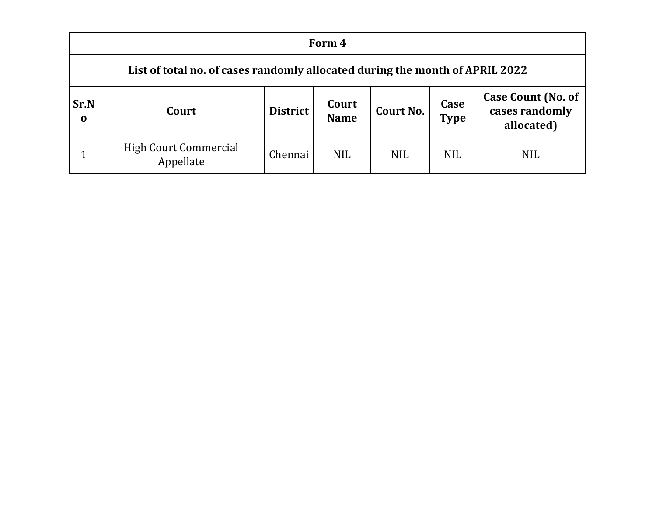|                         | Form 4                                                                                                                                                   |         |            |            |            |            |  |  |  |  |  |
|-------------------------|----------------------------------------------------------------------------------------------------------------------------------------------------------|---------|------------|------------|------------|------------|--|--|--|--|--|
|                         | List of total no. of cases randomly allocated during the month of APRIL 2022                                                                             |         |            |            |            |            |  |  |  |  |  |
| <b>Sr.N</b><br>$\bf{0}$ | <b>Case Count (No. of</b><br>Case<br>Court<br><b>District</b><br><b>Court No.</b><br>cases randomly<br>Court<br><b>Type</b><br><b>Name</b><br>allocated) |         |            |            |            |            |  |  |  |  |  |
|                         | <b>High Court Commercial</b><br>Appellate                                                                                                                | Chennai | <b>NIL</b> | <b>NIL</b> | <b>NIL</b> | <b>NIL</b> |  |  |  |  |  |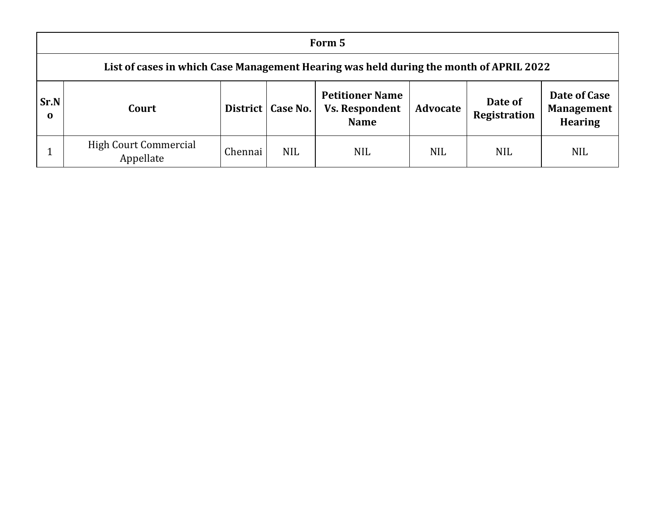|                         | Form 5                                                                                 |         |                     |                                                                |            |                         |                                                     |  |  |  |  |  |
|-------------------------|----------------------------------------------------------------------------------------|---------|---------------------|----------------------------------------------------------------|------------|-------------------------|-----------------------------------------------------|--|--|--|--|--|
|                         | List of cases in which Case Management Hearing was held during the month of APRIL 2022 |         |                     |                                                                |            |                         |                                                     |  |  |  |  |  |
| <b>Sr.N</b><br>$\bf{0}$ | Court                                                                                  |         | District   Case No. | <b>Petitioner Name</b><br><b>Vs. Respondent</b><br><b>Name</b> | Advocate   | Date of<br>Registration | Date of Case<br><b>Management</b><br><b>Hearing</b> |  |  |  |  |  |
|                         | <b>High Court Commercial</b><br>Appellate                                              | Chennai | <b>NIL</b>          | <b>NIL</b>                                                     | <b>NIL</b> | <b>NIL</b>              | <b>NIL</b>                                          |  |  |  |  |  |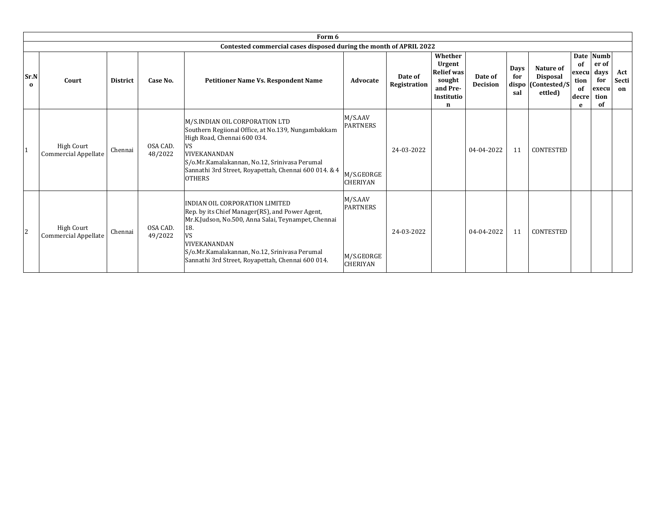|                  | Form 6                                           |                 |                     |                                                                                                                                                                                                                                                                                           |                                                             |                         |                                                                                 |                            |                    |                                                               |                                          |                                                          |                    |
|------------------|--------------------------------------------------|-----------------|---------------------|-------------------------------------------------------------------------------------------------------------------------------------------------------------------------------------------------------------------------------------------------------------------------------------------|-------------------------------------------------------------|-------------------------|---------------------------------------------------------------------------------|----------------------------|--------------------|---------------------------------------------------------------|------------------------------------------|----------------------------------------------------------|--------------------|
|                  |                                                  |                 |                     | Contested commercial cases disposed during the month of APRIL 2022                                                                                                                                                                                                                        |                                                             |                         |                                                                                 |                            |                    |                                                               |                                          |                                                          |                    |
| Sr.N<br>$\bf{0}$ | Court                                            | <b>District</b> | Case No.            | Petitioner Name Vs. Respondent Name                                                                                                                                                                                                                                                       | Advocate                                                    | Date of<br>Registration | Whether<br>Urgent<br><b>Relief was</b><br>sought<br>and Pre-<br>Institutio<br>n | Date of<br><b>Decision</b> | Days<br>for<br>sal | Nature of<br><b>Disposal</b><br>dispo (Contested/S<br>ettled) | of<br>execul<br>tion<br>of<br>decre<br>e | Date Numb<br>er of<br>days<br>for<br>execu<br>tion<br>of | Act<br>Secti<br>on |
| 1                | <b>High Court</b><br>Commercial Appellate        | Chennai         | OSA CAD.<br>48/2022 | M/S.INDIAN OIL CORPORATION LTD<br>Southern Regiional Office, at No.139, Nungambakkam<br>High Road, Chennai 600 034.<br><b>VIVEKANANDAN</b><br>S/o.Mr.Kamalakannan, No.12, Srinivasa Perumal<br>Sannathi 3rd Street, Royapettah, Chennai 600 014. & 4<br><b>OTHERS</b>                     | M/S.AAV<br><b>PARTNERS</b><br>M/S.GEORGE<br><b>CHERIYAN</b> | 24-03-2022              |                                                                                 | 04-04-2022                 | 11                 | <b>CONTESTED</b>                                              |                                          |                                                          |                    |
| 2                | <b>High Court</b><br><b>Commercial Appellate</b> | Chennai         | OSA CAD.<br>49/2022 | INDIAN OIL CORPORATION LIMITED<br>Rep. by its Chief Manager(RS), and Power Agent,<br>Mr.K.Judson, No.500, Anna Salai, Teynampet, Chennai<br>18.<br><b>VS</b><br><b>VIVEKANANDAN</b><br>S/o.Mr.Kamalakannan, No.12, Srinivasa Perumal<br>Sannathi 3rd Street, Royapettah, Chennai 600 014. | M/S.AAV<br><b>PARTNERS</b><br>M/S.GEORGE<br><b>CHERIYAN</b> | 24-03-2022              |                                                                                 | 04-04-2022                 | 11                 | <b>CONTESTED</b>                                              |                                          |                                                          |                    |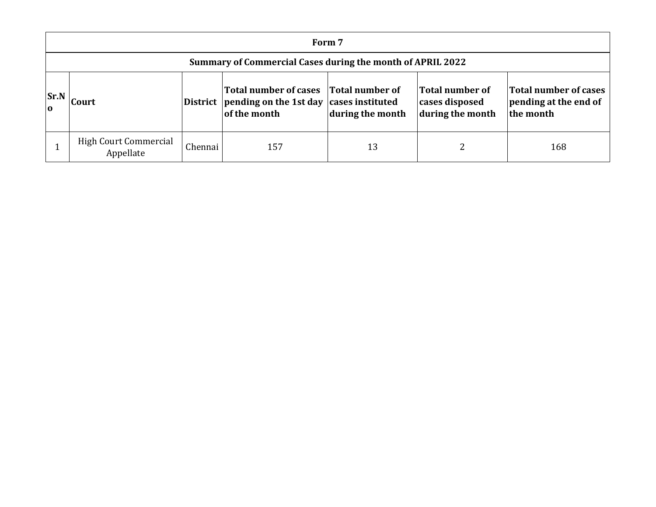|                  | Form 7                                                     |         |                                                                                                           |                  |                                                       |                                                             |  |  |  |  |  |
|------------------|------------------------------------------------------------|---------|-----------------------------------------------------------------------------------------------------------|------------------|-------------------------------------------------------|-------------------------------------------------------------|--|--|--|--|--|
|                  | Summary of Commercial Cases during the month of APRIL 2022 |         |                                                                                                           |                  |                                                       |                                                             |  |  |  |  |  |
| Sr.N<br>$\Omega$ | <b>Court</b>                                               |         | Total number of cases Total number of<br>District pending on the 1st day cases instituted<br>of the month | during the month | Total number of<br>cases disposed<br>during the month | Total number of cases<br>pending at the end of<br>the month |  |  |  |  |  |
|                  | <b>High Court Commercial</b><br>Appellate                  | Chennai | 157                                                                                                       | 13               |                                                       | 168                                                         |  |  |  |  |  |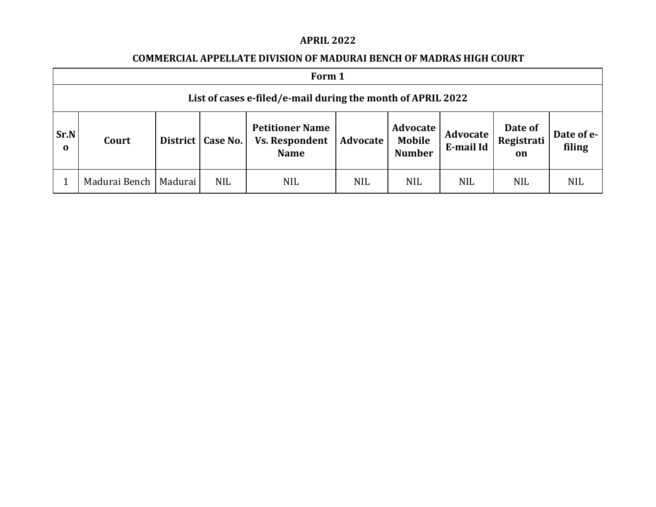## **APRIL 2022**

## **COMMERCIAL APPELLATE DIVISION OF MADURAI BENCH OF MADRAS HIGH COURT**

|                     | Form 1                                                      |          |            |                                                                |            |                                     |                       |                             |                      |  |  |  |
|---------------------|-------------------------------------------------------------|----------|------------|----------------------------------------------------------------|------------|-------------------------------------|-----------------------|-----------------------------|----------------------|--|--|--|
|                     | List of cases e-filed/e-mail during the month of APRIL 2022 |          |            |                                                                |            |                                     |                       |                             |                      |  |  |  |
| Sr.N<br>$\mathbf 0$ | Court                                                       | District | Case No.   | <b>Petitioner Name</b><br><b>Vs. Respondent</b><br><b>Name</b> | Advocate   | Advocate<br>Mobile<br><b>Number</b> | Advocate<br>E-mail Id | Date of<br>Registrati<br>on | Date of e-<br>filing |  |  |  |
|                     | Madurai Bench                                               | Madurai  | <b>NIL</b> | <b>NIL</b>                                                     | <b>NIL</b> | <b>NIL</b>                          | <b>NIL</b>            | <b>NIL</b>                  | <b>NIL</b>           |  |  |  |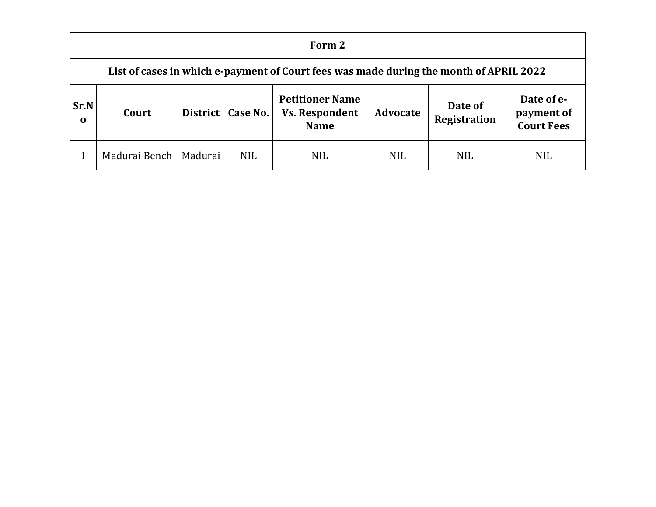|                            | Form 2                                                                                 |  |                     |                                                                |                 |                                |                                               |  |  |  |  |
|----------------------------|----------------------------------------------------------------------------------------|--|---------------------|----------------------------------------------------------------|-----------------|--------------------------------|-----------------------------------------------|--|--|--|--|
|                            | List of cases in which e-payment of Court fees was made during the month of APRIL 2022 |  |                     |                                                                |                 |                                |                                               |  |  |  |  |
| <b>Sr.N</b><br>$\mathbf 0$ | Court                                                                                  |  | District   Case No. | <b>Petitioner Name</b><br><b>Vs. Respondent</b><br><b>Name</b> | <b>Advocate</b> | Date of<br><b>Registration</b> | Date of e-<br>payment of<br><b>Court Fees</b> |  |  |  |  |
|                            | Madurai Bench   Madurai                                                                |  | <b>NIL</b>          | <b>NIL</b>                                                     | <b>NIL</b>      | <b>NIL</b>                     | <b>NIL</b>                                    |  |  |  |  |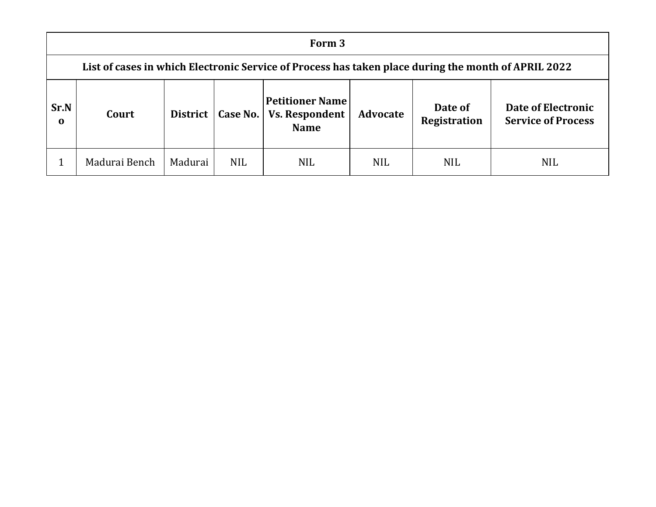|                  | Form 3                                                                                              |                 |            |                                                                |                 |                                |                                                 |  |  |  |  |
|------------------|-----------------------------------------------------------------------------------------------------|-----------------|------------|----------------------------------------------------------------|-----------------|--------------------------------|-------------------------------------------------|--|--|--|--|
|                  | List of cases in which Electronic Service of Process has taken place during the month of APRIL 2022 |                 |            |                                                                |                 |                                |                                                 |  |  |  |  |
| Sr.N<br>$\bf{0}$ | Court                                                                                               | <b>District</b> | Case No.   | <b>Petitioner Name</b><br><b>Vs. Respondent</b><br><b>Name</b> | <b>Advocate</b> | Date of<br><b>Registration</b> | Date of Electronic<br><b>Service of Process</b> |  |  |  |  |
|                  | Madurai Bench                                                                                       | Madurai         | <b>NIL</b> | <b>NIL</b>                                                     | <b>NIL</b>      | <b>NIL</b>                     | <b>NIL</b>                                      |  |  |  |  |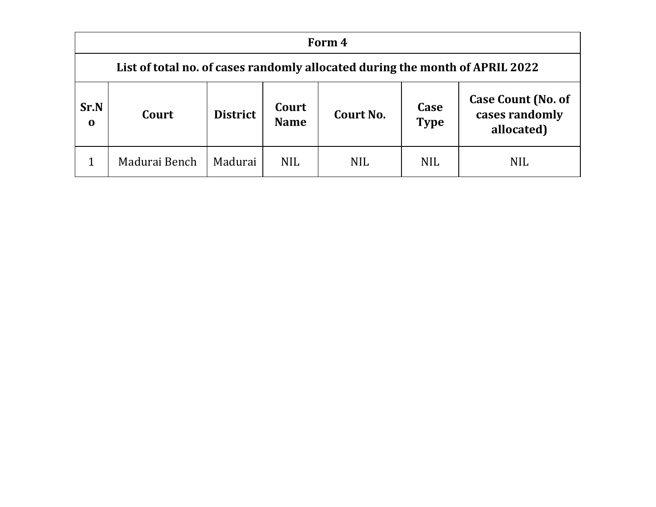|                  | Form 4                                                                       |                 |                      |            |                     |                                                           |  |  |  |  |  |
|------------------|------------------------------------------------------------------------------|-----------------|----------------------|------------|---------------------|-----------------------------------------------------------|--|--|--|--|--|
|                  | List of total no. of cases randomly allocated during the month of APRIL 2022 |                 |                      |            |                     |                                                           |  |  |  |  |  |
| Sr.N<br>$\bf{0}$ | Court                                                                        | <b>District</b> | Court<br><b>Name</b> | Court No.  | Case<br><b>Type</b> | <b>Case Count (No. of</b><br>cases randomly<br>allocated) |  |  |  |  |  |
|                  | Madurai Bench                                                                | Madurai         | <b>NIL</b>           | <b>NIL</b> | <b>NIL</b>          | <b>NIL</b>                                                |  |  |  |  |  |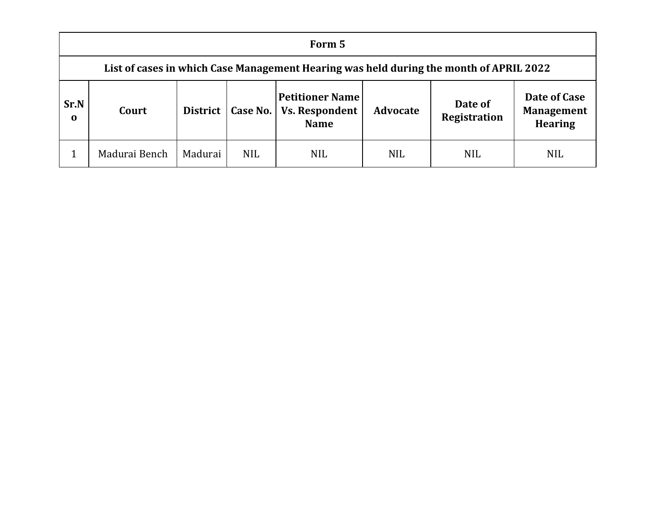|                  | Form 5                                                                                 |         |                     |                                                                |                 |                         |                                                     |  |  |  |  |
|------------------|----------------------------------------------------------------------------------------|---------|---------------------|----------------------------------------------------------------|-----------------|-------------------------|-----------------------------------------------------|--|--|--|--|
|                  | List of cases in which Case Management Hearing was held during the month of APRIL 2022 |         |                     |                                                                |                 |                         |                                                     |  |  |  |  |
| Sr.N<br>$\bf{0}$ | Court                                                                                  |         | District   Case No. | <b>Petitioner Name</b><br><b>Vs. Respondent</b><br><b>Name</b> | <b>Advocate</b> | Date of<br>Registration | Date of Case<br><b>Management</b><br><b>Hearing</b> |  |  |  |  |
|                  | Madurai Bench                                                                          | Madurai | <b>NIL</b>          | <b>NIL</b>                                                     | <b>NIL</b>      | <b>NIL</b>              | <b>NIL</b>                                          |  |  |  |  |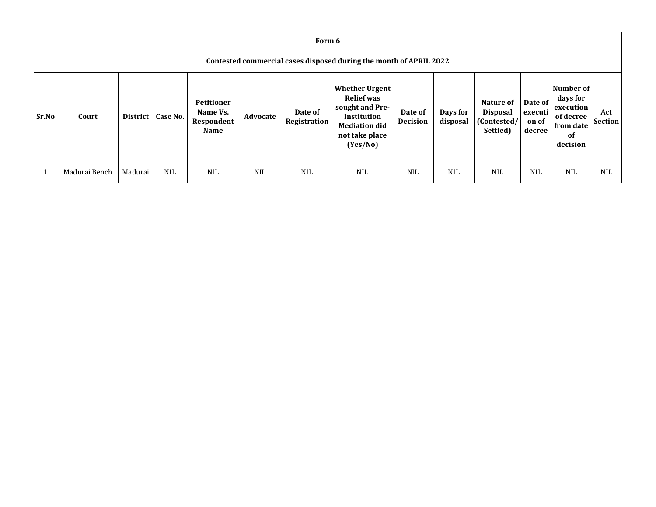|       | Form 6                                                             |                 |            |                                                            |            |                         |                                                                                                                                           |                            |                      |                                                         |                                       |                                                                                       |                       |
|-------|--------------------------------------------------------------------|-----------------|------------|------------------------------------------------------------|------------|-------------------------|-------------------------------------------------------------------------------------------------------------------------------------------|----------------------------|----------------------|---------------------------------------------------------|---------------------------------------|---------------------------------------------------------------------------------------|-----------------------|
|       | Contested commercial cases disposed during the month of APRIL 2022 |                 |            |                                                            |            |                         |                                                                                                                                           |                            |                      |                                                         |                                       |                                                                                       |                       |
| Sr.No | Court                                                              | <b>District</b> | Case No.   | <b>Petitioner</b><br>Name Vs.<br>Respondent<br><b>Name</b> | Advocate   | Date of<br>Registration | <b>Whether Urgent</b><br><b>Relief</b> was<br>sought and Pre-<br><b>Institution</b><br><b>Mediation did</b><br>not take place<br>(Yes/No) | Date of<br><b>Decision</b> | Days for<br>disposal | Nature of<br><b>Disposal</b><br>(Contested/<br>Settled) | Date of<br>executi<br>on of<br>decree | Number of<br>days for<br>execution<br>of decree<br>from date<br><b>of</b><br>decision | Act<br><b>Section</b> |
|       | Madurai Bench                                                      | Madurai         | <b>NIL</b> | <b>NIL</b>                                                 | <b>NIL</b> | <b>NIL</b>              | <b>NIL</b>                                                                                                                                | <b>NIL</b>                 | <b>NIL</b>           | <b>NIL</b>                                              | <b>NIL</b>                            | <b>NIL</b>                                                                            | <b>NIL</b>            |